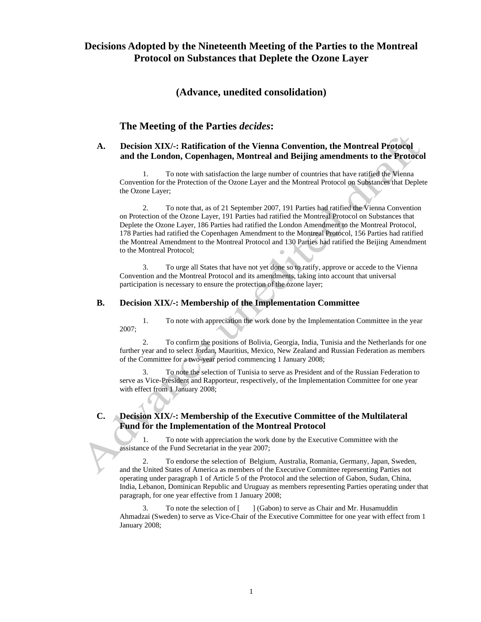## **Decisions Adopted by the Nineteenth Meeting of the Parties to the Montreal Protocol on Substances that Deplete the Ozone Layer**

### **(Advance, unedited consolidation)**

### **The Meeting of the Parties** *decides***:**

### **A. Decision XIX/-: Ratification of the Vienna Convention, the Montreal Protocol and the London, Copenhagen, Montreal and Beijing amendments to the Protocol**

1. To note with satisfaction the large number of countries that have ratified the Vienna Convention for the Protection of the Ozone Layer and the Montreal Protocol on Substances that Deplete the Ozone Layer;

2. To note that, as of 21 September 2007, 191 Parties had ratified the Vienna Convention on Protection of the Ozone Layer, 191 Parties had ratified the Montreal Protocol on Substances that Deplete the Ozone Layer, 186 Parties had ratified the London Amendment to the Montreal Protocol, 178 Parties had ratified the Copenhagen Amendment to the Montreal Protocol, 156 Parties had ratified the Montreal Amendment to the Montreal Protocol and 130 Parties had ratified the Beijing Amendment to the Montreal Protocol;

3. To urge all States that have not yet done so to ratify, approve or accede to the Vienna Convention and the Montreal Protocol and its amendments, taking into account that universal participation is necessary to ensure the protection of the ozone layer;

### **B. Decision XIX/-: Membership of the Implementation Committee**

1. To note with appreciation the work done by the Implementation Committee in the year 2007;

2. To confirm the positions of Bolivia, Georgia, India, Tunisia and the Netherlands for one further year and to select Jordan, Mauritius, Mexico, New Zealand and Russian Federation as members of the Committee for a two-year period commencing 1 January 2008;

3. To note the selection of Tunisia to serve as President and of the Russian Federation to serve as Vice-President and Rapporteur, respectively, of the Implementation Committee for one year with effect from 1 January 2008;

### **C. Decision XIX/-: Membership of the Executive Committee of the Multilateral Fund for the Implementation of the Montreal Protocol**

1. To note with appreciation the work done by the Executive Committee with the assistance of the Fund Secretariat in the year 2007;

2. To endorse the selection of Belgium, Australia, Romania, Germany, Japan, Sweden, and the United States of America as members of the Executive Committee representing Parties not operating under paragraph 1 of Article 5 of the Protocol and the selection of Gabon, Sudan, China, India, Lebanon, Dominican Republic and Uruguay as members representing Parties operating under that paragraph, for one year effective from 1 January 2008;

3. To note the selection of [ ] (Gabon) to serve as Chair and Mr. Husamuddin Ahmadzai (Sweden) to serve as Vice-Chair of the Executive Committee for one year with effect from 1 January 2008;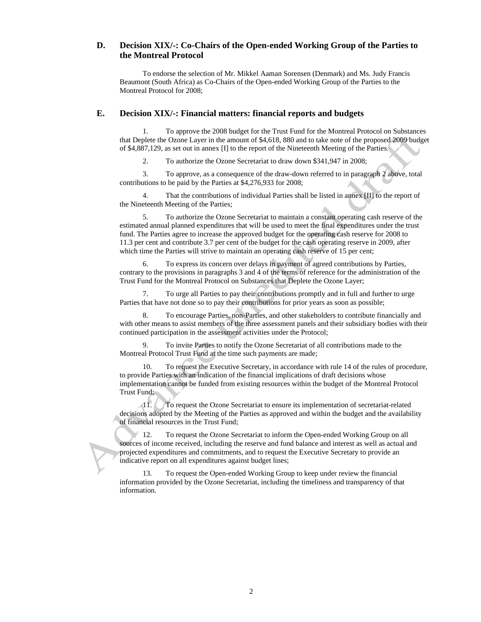### **D. Decision XIX/-: Co-Chairs of the Open-ended Working Group of the Parties to the Montreal Protocol**

To endorse the selection of Mr. Mikkel Aaman Sorensen (Denmark) and Ms. Judy Francis Beaumont (South Africa) as Co-Chairs of the Open-ended Working Group of the Parties to the Montreal Protocol for 2008;

#### **E. Decision XIX/-: Financial matters: financial reports and budgets**

1. To approve the 2008 budget for the Trust Fund for the Montreal Protocol on Substances that Deplete the Ozone Layer in the amount of \$4,618, 880 and to take note of the proposed 2009 budget of \$4,887,129, as set out in annex [I] to the report of the Nineteenth Meeting of the Parties;

2. To authorize the Ozone Secretariat to draw down \$341,947 in 2008;

3. To approve, as a consequence of the draw-down referred to in paragraph 2 above, total contributions to be paid by the Parties at \$4,276,933 for 2008;

4. That the contributions of individual Parties shall be listed in annex [II] to the report of the Nineteenth Meeting of the Parties;

5. To authorize the Ozone Secretariat to maintain a constant operating cash reserve of the estimated annual planned expenditures that will be used to meet the final expenditures under the trust fund. The Parties agree to increase the approved budget for the operating cash reserve for 2008 to 11.3 per cent and contribute 3.7 per cent of the budget for the cash operating reserve in 2009, after which time the Parties will strive to maintain an operating cash reserve of 15 per cent;

To express its concern over delays in payment of agreed contributions by Parties, contrary to the provisions in paragraphs 3 and 4 of the terms of reference for the administration of the Trust Fund for the Montreal Protocol on Substances that Deplete the Ozone Layer;

7. To urge all Parties to pay their contributions promptly and in full and further to urge Parties that have not done so to pay their contributions for prior years as soon as possible;

8. To encourage Parties, non-Parties, and other stakeholders to contribute financially and with other means to assist members of the three assessment panels and their subsidiary bodies with their continued participation in the assessment activities under the Protocol;

9. To invite Parties to notify the Ozone Secretariat of all contributions made to the Montreal Protocol Trust Fund at the time such payments are made;

10. To request the Executive Secretary, in accordance with rule 14 of the rules of procedure, to provide Parties with an indication of the financial implications of draft decisions whose implementation cannot be funded from existing resources within the budget of the Montreal Protocol Trust Fund;

11. To request the Ozone Secretariat to ensure its implementation of secretariat-related decisions adopted by the Meeting of the Parties as approved and within the budget and the availability of financial resources in the Trust Fund;

12. To request the Ozone Secretariat to inform the Open-ended Working Group on all sources of income received, including the reserve and fund balance and interest as well as actual and projected expenditures and commitments, and to request the Executive Secretary to provide an indicative report on all expenditures against budget lines;

13. To request the Open-ended Working Group to keep under review the financial information provided by the Ozone Secretariat, including the timeliness and transparency of that information.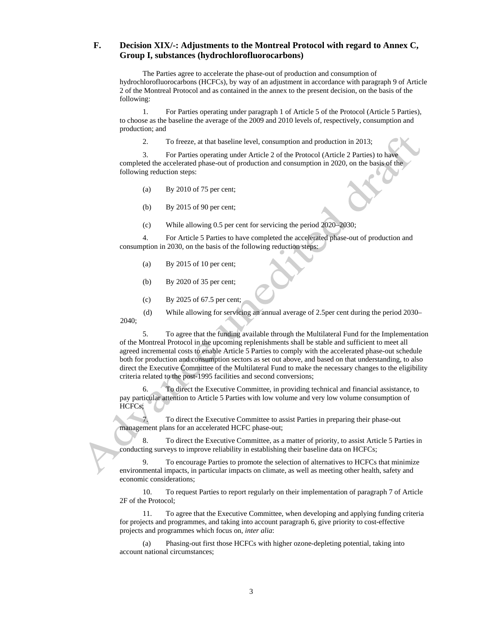### **F. Decision XIX/-: Adjustments to the Montreal Protocol with regard to Annex C, Group I, substances (hydrochlorofluorocarbons)**

The Parties agree to accelerate the phase-out of production and consumption of hydrochlorofluorocarbons (HCFCs), by way of an adjustment in accordance with paragraph 9 of Article 2 of the Montreal Protocol and as contained in the annex to the present decision, on the basis of the following:

1. For Parties operating under paragraph 1 of Article 5 of the Protocol (Article 5 Parties), to choose as the baseline the average of the 2009 and 2010 levels of, respectively, consumption and production; and

2. To freeze, at that baseline level, consumption and production in 2013;

3. For Parties operating under Article 2 of the Protocol (Article 2 Parties) to have completed the accelerated phase-out of production and consumption in 2020, on the basis of the following reduction steps:

- (a) By 2010 of 75 per cent;
- (b) By 2015 of 90 per cent;
- (c) While allowing 0.5 per cent for servicing the period 2020–2030;

4. For Article 5 Parties to have completed the accelerated phase-out of production and consumption in 2030, on the basis of the following reduction steps:

- (a) By 2015 of 10 per cent;
- (b) By 2020 of 35 per cent;
- (c) By 2025 of 67.5 per cent;

(d) While allowing for servicing an annual average of 2.5per cent during the period 2030– 2040;

5. To agree that the funding available through the Multilateral Fund for the Implementation of the Montreal Protocol in the upcoming replenishments shall be stable and sufficient to meet all agreed incremental costs to enable Article 5 Parties to comply with the accelerated phase-out schedule both for production and consumption sectors as set out above, and based on that understanding, to also direct the Executive Committee of the Multilateral Fund to make the necessary changes to the eligibility criteria related to the post-1995 facilities and second conversions;

6. To direct the Executive Committee, in providing technical and financial assistance, to pay particular attention to Article 5 Parties with low volume and very low volume consumption of HCFCs;

7. To direct the Executive Committee to assist Parties in preparing their phase-out management plans for an accelerated HCFC phase-out;

8. To direct the Executive Committee, as a matter of priority, to assist Article 5 Parties in conducting surveys to improve reliability in establishing their baseline data on HCFCs;

9. To encourage Parties to promote the selection of alternatives to HCFCs that minimize environmental impacts, in particular impacts on climate, as well as meeting other health, safety and economic considerations;

10. To request Parties to report regularly on their implementation of paragraph 7 of Article 2F of the Protocol;

11. To agree that the Executive Committee, when developing and applying funding criteria for projects and programmes, and taking into account paragraph 6, give priority to cost-effective projects and programmes which focus on, *inter alia*:

(a) Phasing-out first those HCFCs with higher ozone-depleting potential, taking into account national circumstances;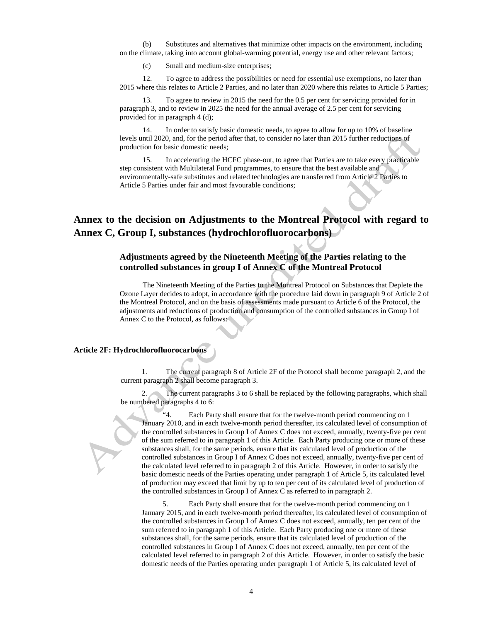(b) Substitutes and alternatives that minimize other impacts on the environment, including on the climate, taking into account global-warming potential, energy use and other relevant factors;

(c) Small and medium-size enterprises;

12. To agree to address the possibilities or need for essential use exemptions, no later than 2015 where this relates to Article 2 Parties, and no later than 2020 where this relates to Article 5 Parties;

13. To agree to review in 2015 the need for the 0.5 per cent for servicing provided for in paragraph 3, and to review in 2025 the need for the annual average of 2.5 per cent for servicing provided for in paragraph 4 (d);

14. In order to satisfy basic domestic needs, to agree to allow for up to 10% of baseline levels until 2020, and, for the period after that, to consider no later than 2015 further reductions of production for basic domestic needs;

15. In accelerating the HCFC phase-out, to agree that Parties are to take every practicable step consistent with Multilateral Fund programmes, to ensure that the best available and environmentally-safe substitutes and related technologies are transferred from Article 2 Parties to Article 5 Parties under fair and most favourable conditions;

# **Annex to the decision on Adjustments to the Montreal Protocol with regard to Annex C, Group I, substances (hydrochlorofluorocarbons)**

### **Adjustments agreed by the Nineteenth Meeting of the Parties relating to the controlled substances in group I of Annex C of the Montreal Protocol**

The Nineteenth Meeting of the Parties to the Montreal Protocol on Substances that Deplete the Ozone Layer decides to adopt, in accordance with the procedure laid down in paragraph 9 of Article 2 of the Montreal Protocol, and on the basis of assessments made pursuant to Article 6 of the Protocol, the adjustments and reductions of production and consumption of the controlled substances in Group I of Annex C to the Protocol, as follows:

#### **Article 2F: Hydrochlorofluorocarbons**

1. The current paragraph 8 of Article 2F of the Protocol shall become paragraph 2, and the current paragraph 2 shall become paragraph 3.

The current paragraphs 3 to 6 shall be replaced by the following paragraphs, which shall be numbered paragraphs 4 to 6:

 $-4$ . Each Party shall ensure that for the twelve-month period commencing on 1 January 2010, and in each twelve-month period thereafter, its calculated level of consumption of the controlled substances in Group I of Annex C does not exceed, annually, twenty-five per cent of the sum referred to in paragraph 1 of this Article. Each Party producing one or more of these substances shall, for the same periods, ensure that its calculated level of production of the controlled substances in Group I of Annex C does not exceed, annually, twenty-five per cent of the calculated level referred to in paragraph 2 of this Article. However, in order to satisfy the basic domestic needs of the Parties operating under paragraph 1 of Article 5, its calculated level of production may exceed that limit by up to ten per cent of its calculated level of production of the controlled substances in Group I of Annex C as referred to in paragraph 2.

Each Party shall ensure that for the twelve-month period commencing on 1 January 2015, and in each twelve-month period thereafter, its calculated level of consumption of the controlled substances in Group I of Annex C does not exceed, annually, ten per cent of the sum referred to in paragraph 1 of this Article. Each Party producing one or more of these substances shall, for the same periods, ensure that its calculated level of production of the controlled substances in Group I of Annex C does not exceed, annually, ten per cent of the calculated level referred to in paragraph 2 of this Article. However, in order to satisfy the basic domestic needs of the Parties operating under paragraph 1 of Article 5, its calculated level of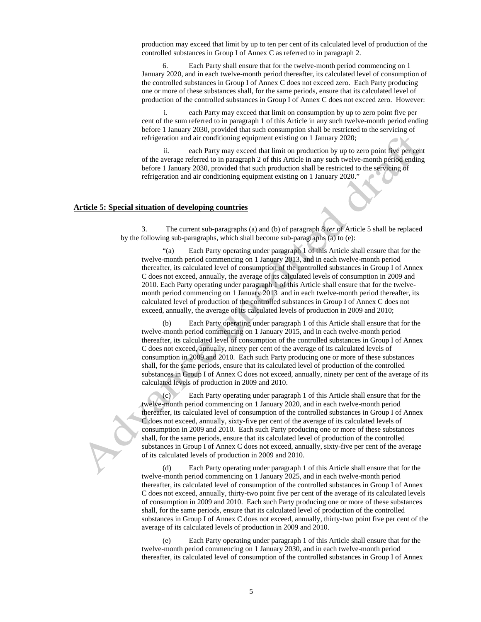production may exceed that limit by up to ten per cent of its calculated level of production of the controlled substances in Group I of Annex C as referred to in paragraph 2.

Each Party shall ensure that for the twelve-month period commencing on 1 January 2020, and in each twelve-month period thereafter, its calculated level of consumption of the controlled substances in Group I of Annex C does not exceed zero. Each Party producing one or more of these substances shall, for the same periods, ensure that its calculated level of production of the controlled substances in Group I of Annex C does not exceed zero. However:

i. each Party may exceed that limit on consumption by up to zero point five per cent of the sum referred to in paragraph 1 of this Article in any such twelve-month period ending before 1 January 2030, provided that such consumption shall be restricted to the servicing of refrigeration and air conditioning equipment existing on 1 January 2020;

ii. each Party may exceed that limit on production by up to zero point five per cent of the average referred to in paragraph 2 of this Article in any such twelve-month period ending before 1 January 2030, provided that such production shall be restricted to the servicing of refrigeration and air conditioning equipment existing on 1 January 2020."

#### **Article 5: Special situation of developing countries**

3. The current sub-paragraphs (a) and (b) of paragraph 8 *ter* of Article 5 shall be replaced by the following sub-paragraphs, which shall become sub-paragraphs (a) to (e):

"(a) Each Party operating under paragraph 1 of this Article shall ensure that for the twelve-month period commencing on 1 January 2013, and in each twelve-month period thereafter, its calculated level of consumption of the controlled substances in Group I of Annex C does not exceed, annually, the average of its calculated levels of consumption in 2009 and 2010. Each Party operating under paragraph 1 of this Article shall ensure that for the twelvemonth period commencing on 1 January 2013 and in each twelve-month period thereafter, its calculated level of production of the controlled substances in Group I of Annex C does not exceed, annually, the average of its calculated levels of production in 2009 and 2010;

(b) Each Party operating under paragraph 1 of this Article shall ensure that for the twelve-month period commencing on 1 January 2015, and in each twelve-month period thereafter, its calculated level of consumption of the controlled substances in Group I of Annex C does not exceed, annually, ninety per cent of the average of its calculated levels of consumption in 2009 and 2010. Each such Party producing one or more of these substances shall, for the same periods, ensure that its calculated level of production of the controlled substances in Group I of Annex C does not exceed, annually, ninety per cent of the average of its calculated levels of production in 2009 and 2010.

Each Party operating under paragraph 1 of this Article shall ensure that for the twelve-month period commencing on 1 January 2020, and in each twelve-month period thereafter, its calculated level of consumption of the controlled substances in Group I of Annex C does not exceed, annually, sixty-five per cent of the average of its calculated levels of consumption in 2009 and 2010. Each such Party producing one or more of these substances shall, for the same periods, ensure that its calculated level of production of the controlled substances in Group I of Annex C does not exceed, annually, sixty-five per cent of the average of its calculated levels of production in 2009 and 2010.

(d) Each Party operating under paragraph 1 of this Article shall ensure that for the twelve-month period commencing on 1 January 2025, and in each twelve-month period thereafter, its calculated level of consumption of the controlled substances in Group I of Annex C does not exceed, annually, thirty-two point five per cent of the average of its calculated levels of consumption in 2009 and 2010. Each such Party producing one or more of these substances shall, for the same periods, ensure that its calculated level of production of the controlled substances in Group I of Annex C does not exceed, annually, thirty-two point five per cent of the average of its calculated levels of production in 2009 and 2010.

Each Party operating under paragraph 1 of this Article shall ensure that for the twelve-month period commencing on 1 January 2030, and in each twelve-month period thereafter, its calculated level of consumption of the controlled substances in Group I of Annex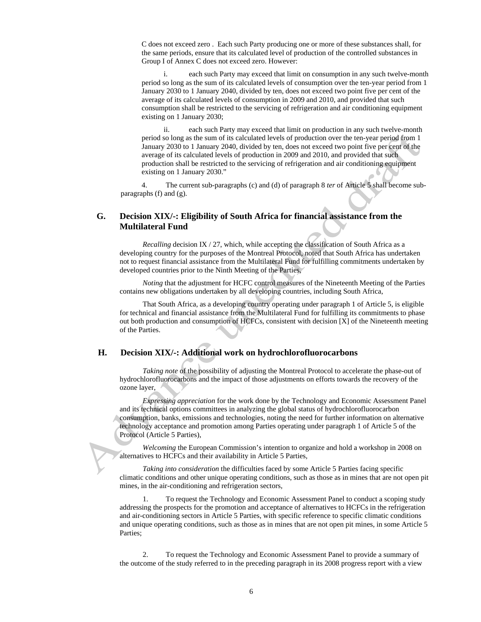C does not exceed zero . Each such Party producing one or more of these substances shall, for the same periods, ensure that its calculated level of production of the controlled substances in Group I of Annex C does not exceed zero. However:

i. each such Party may exceed that limit on consumption in any such twelve-month period so long as the sum of its calculated levels of consumption over the ten-year period from 1 January 2030 to 1 January 2040, divided by ten, does not exceed two point five per cent of the average of its calculated levels of consumption in 2009 and 2010, and provided that such consumption shall be restricted to the servicing of refrigeration and air conditioning equipment existing on 1 January 2030;

ii. each such Party may exceed that limit on production in any such twelve-month period so long as the sum of its calculated levels of production over the ten-year period from 1 January 2030 to 1 January 2040, divided by ten, does not exceed two point five per cent of the average of its calculated levels of production in 2009 and 2010, and provided that such production shall be restricted to the servicing of refrigeration and air conditioning equipment existing on 1 January 2030."

4. The current sub-paragraphs (c) and (d) of paragraph 8 *ter* of Article 5 shall become subparagraphs (f) and (g).

### **G. Decision XIX/-: Eligibility of South Africa for financial assistance from the Multilateral Fund**

*Recalling* decision IX / 27, which, while accepting the classification of South Africa as a developing country for the purposes of the Montreal Protocol, noted that South Africa has undertaken not to request financial assistance from the Multilateral Fund for fulfilling commitments undertaken by developed countries prior to the Ninth Meeting of the Parties,

*Noting* that the adjustment for HCFC control measures of the Nineteenth Meeting of the Parties contains new obligations undertaken by all developing countries, including South Africa,

That South Africa, as a developing country operating under paragraph 1 of Article 5, is eligible for technical and financial assistance from the Multilateral Fund for fulfilling its commitments to phase out both production and consumption of HCFCs, consistent with decision [X] of the Nineteenth meeting of the Parties.

### **H. Decision XIX/-: Additional work on hydrochlorofluorocarbons**

*Taking note* of the possibility of adjusting the Montreal Protocol to accelerate the phase-out of hydrochlorofluorocarbons and the impact of those adjustments on efforts towards the recovery of the ozone layer,

*Expressing appreciation* for the work done by the Technology and Economic Assessment Panel and its technical options committees in analyzing the global status of hydrochlorofluorocarbon consumption, banks, emissions and technologies, noting the need for further information on alternative technology acceptance and promotion among Parties operating under paragraph 1 of Article 5 of the Protocol (Article 5 Parties),

*Welcoming* the European Commission's intention to organize and hold a workshop in 2008 on alternatives to HCFCs and their availability in Article 5 Parties*,* 

*Taking into consideration* the difficulties faced by some Article 5 Parties facing specific climatic conditions and other unique operating conditions, such as those as in mines that are not open pit mines, in the air-conditioning and refrigeration sectors*,* 

1. To request the Technology and Economic Assessment Panel to conduct a scoping study addressing the prospects for the promotion and acceptance of alternatives to HCFCs in the refrigeration and air-conditioning sectors in Article 5 Parties, with specific reference to specific climatic conditions and unique operating conditions, such as those as in mines that are not open pit mines, in some Article 5 Parties;

2. To request the Technology and Economic Assessment Panel to provide a summary of the outcome of the study referred to in the preceding paragraph in its 2008 progress report with a view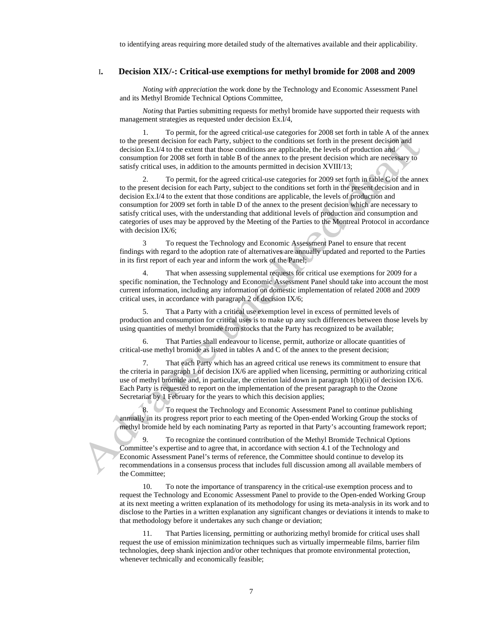to identifying areas requiring more detailed study of the alternatives available and their applicability.

#### I**. Decision XIX/-: Critical-use exemptions for methyl bromide for 2008 and 2009**

*Noting with appreciation* the work done by the Technology and Economic Assessment Panel and its Methyl Bromide Technical Options Committee,

*Noting* that Parties submitting requests for methyl bromide have supported their requests with management strategies as requested under decision Ex.I/4,

1. To permit, for the agreed critical-use categories for 2008 set forth in table A of the annex to the present decision for each Party, subject to the conditions set forth in the present decision and decision Ex.I/4 to the extent that those conditions are applicable, the levels of production and consumption for 2008 set forth in table B of the annex to the present decision which are necessary to satisfy critical uses, in addition to the amounts permitted in decision XVIII/13;

2. To permit, for the agreed critical-use categories for 2009 set forth in table C of the annex to the present decision for each Party, subject to the conditions set forth in the present decision and in decision Ex.I/4 to the extent that those conditions are applicable, the levels of production and consumption for 2009 set forth in table D of the annex to the present decision which are necessary to satisfy critical uses, with the understanding that additional levels of production and consumption and categories of uses may be approved by the Meeting of the Parties to the Montreal Protocol in accordance with decision IX/6;

3 To request the Technology and Economic Assessment Panel to ensure that recent findings with regard to the adoption rate of alternatives are annually updated and reported to the Parties in its first report of each year and inform the work of the Panel;

4. That when assessing supplemental requests for critical use exemptions for 2009 for a specific nomination, the Technology and Economic Assessment Panel should take into account the most current information, including any information on domestic implementation of related 2008 and 2009 critical uses, in accordance with paragraph 2 of decision IX/6;

5. That a Party with a critical use exemption level in excess of permitted levels of production and consumption for critical uses is to make up any such differences between those levels by using quantities of methyl bromide from stocks that the Party has recognized to be available;

6. That Parties shall endeavour to license, permit, authorize or allocate quantities of critical-use methyl bromide as listed in tables A and C of the annex to the present decision;

7. That each Party which has an agreed critical use renews its commitment to ensure that the criteria in paragraph 1 of decision IX/6 are applied when licensing, permitting or authorizing critical use of methyl bromide and, in particular, the criterion laid down in paragraph 1(b)(ii) of decision IX/6. Each Party is requested to report on the implementation of the present paragraph to the Ozone Secretariat by 1 February for the years to which this decision applies;

8. To request the Technology and Economic Assessment Panel to continue publishing annually in its progress report prior to each meeting of the Open-ended Working Group the stocks of methyl bromide held by each nominating Party as reported in that Party's accounting framework report;

9. To recognize the continued contribution of the Methyl Bromide Technical Options Committee's expertise and to agree that, in accordance with section 4.1 of the Technology and Economic Assessment Panel's terms of reference, the Committee should continue to develop its recommendations in a consensus process that includes full discussion among all available members of the Committee;

10. To note the importance of transparency in the critical-use exemption process and to request the Technology and Economic Assessment Panel to provide to the Open-ended Working Group at its next meeting a written explanation of its methodology for using its meta-analysis in its work and to disclose to the Parties in a written explanation any significant changes or deviations it intends to make to that methodology before it undertakes any such change or deviation;

11. That Parties licensing, permitting or authorizing methyl bromide for critical uses shall request the use of emission minimization techniques such as virtually impermeable films, barrier film technologies, deep shank injection and/or other techniques that promote environmental protection, whenever technically and economically feasible;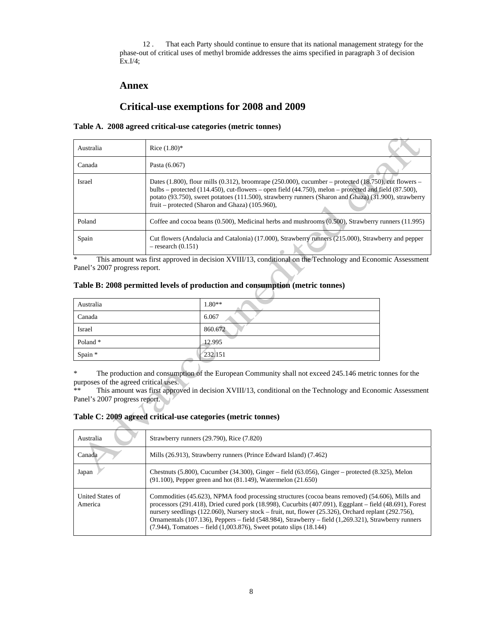12 . That each Party should continue to ensure that its national management strategy for the phase-out of critical uses of methyl bromide addresses the aims specified in paragraph 3 of decision Ex.I/4;

### **Annex**

# **Critical-use exemptions for 2008 and 2009**

#### **Table A. 2008 agreed critical-use categories (metric tonnes)**

| Australia     | Rice $(1.80)$ *                                                                                                                                                                                                                                                                                                                                                                                 |
|---------------|-------------------------------------------------------------------------------------------------------------------------------------------------------------------------------------------------------------------------------------------------------------------------------------------------------------------------------------------------------------------------------------------------|
| Canada        | Pasta (6.067)                                                                                                                                                                                                                                                                                                                                                                                   |
| <b>Israel</b> | Dates $(1.800)$ , flour mills $(0.312)$ , broomrape $(250.000)$ , cucumber – protected $(18.750)$ , cut flowers –<br>bulbs – protected $(114.450)$ , cut-flowers – open field $(44.750)$ , melon – protected and field $(87.500)$ ,<br>potato (93.750), sweet potatoes (111.500), strawberry runners (Sharon and Ghaza) (31.900), strawberry<br>fruit – protected (Sharon and Ghaza) (105.960), |
| Poland        | Coffee and cocoa beans $(0.500)$ , Medicinal herbs and mushrooms $(0.500)$ , Strawberry runners $(11.995)$                                                                                                                                                                                                                                                                                      |
| Spain         | Cut flowers (Andalucia and Catalonia) (17.000), Strawberry runners (215.000), Strawberry and pepper<br>$-$ research $(0.151)$                                                                                                                                                                                                                                                                   |

\* This amount was first approved in decision XVIII/13, conditional on the Technology and Economic Assessment Panel's 2007 progress report.

### **Table B: 2008 permitted levels of production and consumption (metric tonnes)**

| Australia | $1.80**$ |
|-----------|----------|
| Canada    | 6.067    |
| Israel    | 860.672  |
| Poland *  | 12.995   |
| Spain *   | 232.151  |

\* The production and consumption of the European Community shall not exceed 245.146 metric tonnes for the purposes of the agreed critical uses.

This amount was first approved in decision XVIII/13, conditional on the Technology and Economic Assessment Panel's 2007 progress report.

#### **Table C: 2009 agreed critical-use categories (metric tonnes)**

| Australia                   | Strawberry runners (29.790), Rice (7.820)                                                                                                                                                                                                                                                                                                                                                                                                                                                                         |
|-----------------------------|-------------------------------------------------------------------------------------------------------------------------------------------------------------------------------------------------------------------------------------------------------------------------------------------------------------------------------------------------------------------------------------------------------------------------------------------------------------------------------------------------------------------|
| Canada                      | Mills (26.913), Strawberry runners (Prince Edward Island) (7.462)                                                                                                                                                                                                                                                                                                                                                                                                                                                 |
| Japan                       | Chestnuts $(5.800)$ , Cucumber $(34.300)$ , Ginger – field $(63.056)$ , Ginger – protected $(8.325)$ , Melon<br>$(91.100)$ , Pepper green and hot $(81.149)$ , Watermelon $(21.650)$                                                                                                                                                                                                                                                                                                                              |
| United States of<br>America | Commodities (45.623), NPMA food processing structures (cocoa beans removed) (54.606), Mills and<br>processors (291.418), Dried cured pork (18.998), Cucurbits (407.091), Eggplant – field (48.691), Forest<br>nursery seedlings $(122.060)$ , Nursery stock – fruit, nut, flower $(25.326)$ , Orchard replant $(292.756)$ ,<br>Ornamentals (107.136), Peppers – field (548.984), Strawberry – field (1,269.321), Strawberry runners<br>$(7.944)$ , Tomatoes – field $(1,003.876)$ , Sweet potato slips $(18.144)$ |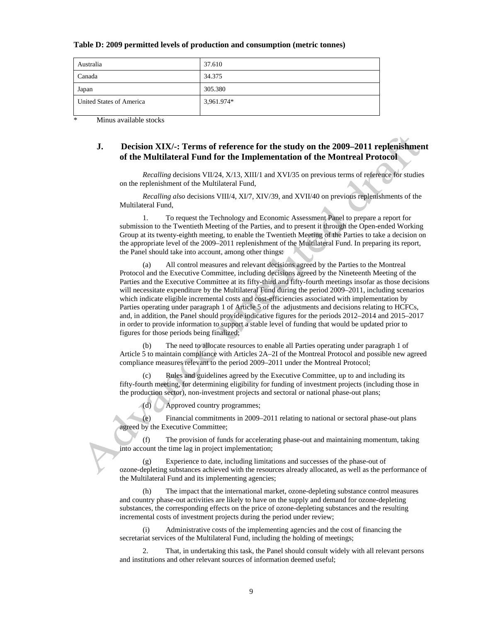#### **Table D: 2009 permitted levels of production and consumption (metric tonnes)**

| Australia                | 37.610     |
|--------------------------|------------|
| Canada                   | 34.375     |
| Japan                    | 305.380    |
| United States of America | 3,961.974* |
|                          |            |

Minus available stocks

### **J. Decision XIX/-: Terms of reference for the study on the 2009–2011 replenishment of the Multilateral Fund for the Implementation of the Montreal Protocol**

*Recalling* decisions VII/24, X/13, XIII/1 and XVI/35 on previous terms of reference for studies on the replenishment of the Multilateral Fund,

*Recalling also* decisions VIII/4, XI/7, XIV/39, and XVII/40 on previous replenishments of the Multilateral Fund,

1. To request the Technology and Economic Assessment Panel to prepare a report for submission to the Twentieth Meeting of the Parties, and to present it through the Open-ended Working Group at its twenty-eighth meeting, to enable the Twentieth Meeting of the Parties to take a decision on the appropriate level of the 2009–2011 replenishment of the Multilateral Fund. In preparing its report, the Panel should take into account, among other things:

All control measures and relevant decisions agreed by the Parties to the Montreal Protocol and the Executive Committee, including decisions agreed by the Nineteenth Meeting of the Parties and the Executive Committee at its fifty-third and fifty-fourth meetings insofar as those decisions will necessitate expenditure by the Multilateral Fund during the period 2009–2011, including scenarios which indicate eligible incremental costs and cost-efficiencies associated with implementation by Parties operating under paragraph 1 of Article 5 of the adjustments and decisions relating to HCFCs, and, in addition, the Panel should provide indicative figures for the periods 2012–2014 and 2015–2017 in order to provide information to support a stable level of funding that would be updated prior to figures for those periods being finalized;

(b) The need to allocate resources to enable all Parties operating under paragraph 1 of Article 5 to maintain compliance with Articles 2A–2I of the Montreal Protocol and possible new agreed compliance measures relevant to the period 2009–2011 under the Montreal Protocol;

(c) Rules and guidelines agreed by the Executive Committee, up to and including its fifty-fourth meeting, for determining eligibility for funding of investment projects (including those in the production sector), non-investment projects and sectoral or national phase-out plans;

(d) Approved country programmes;

(e) Financial commitments in 2009–2011 relating to national or sectoral phase-out plans agreed by the Executive Committee;

(f) The provision of funds for accelerating phase-out and maintaining momentum, taking into account the time lag in project implementation;

(g) Experience to date, including limitations and successes of the phase-out of ozone-depleting substances achieved with the resources already allocated, as well as the performance of the Multilateral Fund and its implementing agencies;

(h) The impact that the international market, ozone-depleting substance control measures and country phase-out activities are likely to have on the supply and demand for ozone-depleting substances, the corresponding effects on the price of ozone-depleting substances and the resulting incremental costs of investment projects during the period under review;

(i) Administrative costs of the implementing agencies and the cost of financing the secretariat services of the Multilateral Fund, including the holding of meetings;

2. That, in undertaking this task, the Panel should consult widely with all relevant persons and institutions and other relevant sources of information deemed useful;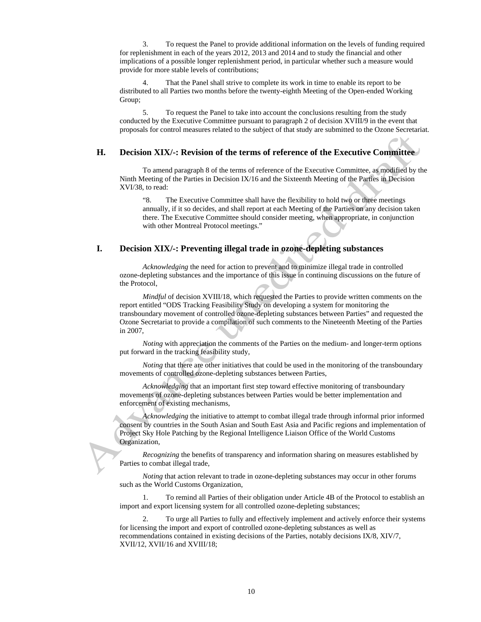3. To request the Panel to provide additional information on the levels of funding required for replenishment in each of the years 2012, 2013 and 2014 and to study the financial and other implications of a possible longer replenishment period, in particular whether such a measure would provide for more stable levels of contributions;

That the Panel shall strive to complete its work in time to enable its report to be distributed to all Parties two months before the twenty-eighth Meeting of the Open-ended Working Group;

5. To request the Panel to take into account the conclusions resulting from the study conducted by the Executive Committee pursuant to paragraph 2 of decision XVIII/9 in the event that proposals for control measures related to the subject of that study are submitted to the Ozone Secretariat.

#### **H. Decision XIX/-: Revision of the terms of reference of the Executive Committee**

To amend paragraph 8 of the terms of reference of the Executive Committee, as modified by the Ninth Meeting of the Parties in Decision IX/16 and the Sixteenth Meeting of the Parties in Decision XVI/38, to read:

"8. The Executive Committee shall have the flexibility to hold two or three meetings annually, if it so decides, and shall report at each Meeting of the Parties on any decision taken there. The Executive Committee should consider meeting, when appropriate, in conjunction with other Montreal Protocol meetings."

#### **I. Decision XIX/-: Preventing illegal trade in ozone-depleting substances**

*Acknowledging* the need for action to prevent and to minimize illegal trade in controlled ozone-depleting substances and the importance of this issue in continuing discussions on the future of the Protocol,

*Mindful* of decision XVIII/18, which requested the Parties to provide written comments on the report entitled "ODS Tracking Feasibility Study on developing a system for monitoring the transboundary movement of controlled ozone-depleting substances between Parties" and requested the Ozone Secretariat to provide a compilation of such comments to the Nineteenth Meeting of the Parties in 2007,

*Noting* with appreciation the comments of the Parties on the medium- and longer-term options put forward in the tracking feasibility study,

*Noting* that there are other initiatives that could be used in the monitoring of the transboundary movements of controlled ozone-depleting substances between Parties,

*Acknowledging* that an important first step toward effective monitoring of transboundary movements of ozone-depleting substances between Parties would be better implementation and enforcement of existing mechanisms,

*Acknowledging* the initiative to attempt to combat illegal trade through informal prior informed consent by countries in the South Asian and South East Asia and Pacific regions and implementation of Project Sky Hole Patching by the Regional Intelligence Liaison Office of the World Customs Organization,

*Recognizing* the benefits of transparency and information sharing on measures established by Parties to combat illegal trade,

*Noting* that action relevant to trade in ozone-depleting substances may occur in other forums such as the World Customs Organization,

1. To remind all Parties of their obligation under Article 4B of the Protocol to establish an import and export licensing system for all controlled ozone-depleting substances;

2. To urge all Parties to fully and effectively implement and actively enforce their systems for licensing the import and export of controlled ozone-depleting substances as well as recommendations contained in existing decisions of the Parties, notably decisions IX/8, XIV/7, XVII/12, XVII/16 and XVIII/18;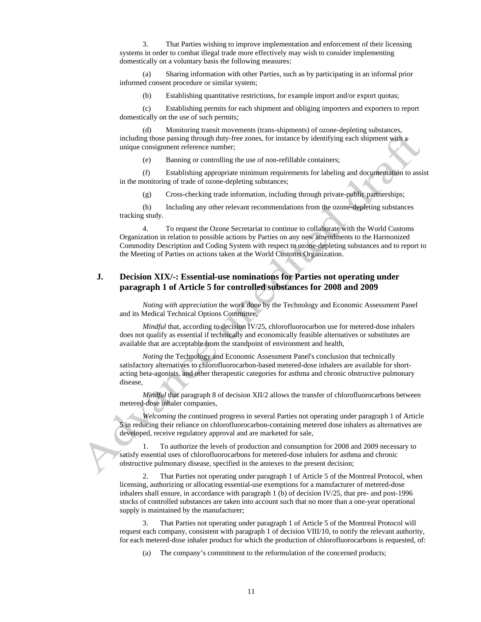3. That Parties wishing to improve implementation and enforcement of their licensing systems in order to combat illegal trade more effectively may wish to consider implementing domestically on a voluntary basis the following measures:

(a) Sharing information with other Parties, such as by participating in an informal prior informed consent procedure or similar system;

(b) Establishing quantitative restrictions, for example import and/or export quotas;

(c) Establishing permits for each shipment and obliging importers and exporters to report domestically on the use of such permits;

(d) Monitoring transit movements (trans-shipments) of ozone-depleting substances, including those passing through duty-free zones, for instance by identifying each shipment with a unique consignment reference number;

(e) Banning or controlling the use of non-refillable containers;

(f) Establishing appropriate minimum requirements for labeling and documentation to assist in the monitoring of trade of ozone-depleting substances;

(g) Cross-checking trade information, including through private-public partnerships;

(h) Including any other relevant recommendations from the ozone-depleting substances tracking study.

4. To request the Ozone Secretariat to continue to collaborate with the World Customs Organization in relation to possible actions by Parties on any new amendments to the Harmonized Commodity Description and Coding System with respect to ozone-depleting substances and to report to the Meeting of Parties on actions taken at the World Customs Organization.

### **J. Decision XIX/-: Essential-use nominations for Parties not operating under paragraph 1 of Article 5 for controlled substances for 2008 and 2009**

*Noting with appreciation* the work done by the Technology and Economic Assessment Panel and its Medical Technical Options Committee,

*Mindful* that, according to decision IV/25, chlorofluorocarbon use for metered-dose inhalers does not qualify as essential if technically and economically feasible alternatives or substitutes are available that are acceptable from the standpoint of environment and health,

*Noting* the Technology and Economic Assessment Panel's conclusion that technically satisfactory alternatives to chlorofluorocarbon-based metered-dose inhalers are available for shortacting beta-agonists, and other therapeutic categories for asthma and chronic obstructive pulmonary disease,

*Mindful* that paragraph 8 of decision XII/2 allows the transfer of chlorofluorocarbons between metered-dose inhaler companies,

*Welcoming* the continued progress in several Parties not operating under paragraph 1 of Article 5 in reducing their reliance on chlorofluorocarbon-containing metered dose inhalers as alternatives are developed, receive regulatory approval and are marketed for sale,

1. To authorize the levels of production and consumption for 2008 and 2009 necessary to satisfy essential uses of chlorofluorocarbons for metered-dose inhalers for asthma and chronic obstructive pulmonary disease, specified in the annexes to the present decision;

2. That Parties not operating under paragraph 1 of Article 5 of the Montreal Protocol, when licensing, authorizing or allocating essential-use exemptions for a manufacturer of metered-dose inhalers shall ensure, in accordance with paragraph 1 (b) of decision IV/25, that pre- and post-1996 stocks of controlled substances are taken into account such that no more than a one-year operational supply is maintained by the manufacturer;

3. That Parties not operating under paragraph 1 of Article 5 of the Montreal Protocol will request each company, consistent with paragraph 1 of decision VIII/10, to notify the relevant authority, for each metered-dose inhaler product for which the production of chlorofluorocarbons is requested, of:

(a) The company's commitment to the reformulation of the concerned products;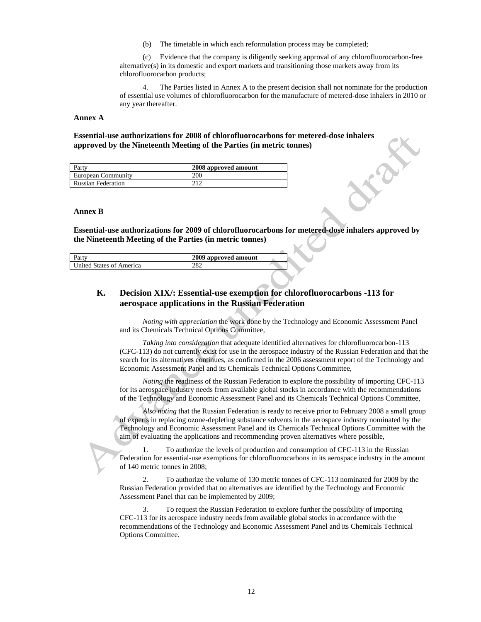(b) The timetable in which each reformulation process may be completed;

(c) Evidence that the company is diligently seeking approval of any chlorofluorocarbon-free  $alternative(s)$  in its domestic and export markets and transitioning those markets away from its chlorofluorocarbon products;

The Parties listed in Annex A to the present decision shall not nominate for the production of essential use volumes of chlorofluorocarbon for the manufacture of metered-dose inhalers in 2010 or any year thereafter.

#### **Annex A**

#### **Essential-use authorizations for 2008 of chlorofluorocarbons for metered-dose inhalers approved by the Nineteenth Meeting of the Parties (in metric tonnes)**

| Party                     | 2008 approved amount |
|---------------------------|----------------------|
| European Community        | 200                  |
| <b>Russian Federation</b> | 212                  |

#### **Annex B**

**Essential-use authorizations for 2009 of chlorofluorocarbons for metered-dose inhalers approved by the Nineteenth Meeting of the Parties (in metric tonnes)** 

| ∡artv                    | 2009 approved amount |  |
|--------------------------|----------------------|--|
| United States of America |                      |  |

### **K. Decision XIX/: Essential-use exemption for chlorofluorocarbons -113 for aerospace applications in the Russian Federation**

*Noting with appreciation* the work done by the Technology and Economic Assessment Panel and its Chemicals Technical Options Committee*,* 

*Taking into consideration* that adequate identified alternatives for chlorofluorocarbon-113 (CFC-113) do not currently exist for use in the aerospace industry of the Russian Federation and that the search for its alternatives continues, as confirmed in the 2006 assessment report of the Technology and Economic Assessment Panel and its Chemicals Technical Options Committee*,* 

*Noting* the readiness of the Russian Federation to explore the possibility of importing CFC-113 for its aerospace industry needs from available global stocks in accordance with the recommendations of the Technology and Economic Assessment Panel and its Chemicals Technical Options Committee*,* 

 *Also noting* that the Russian Federation is ready to receive prior to February 2008 a small group of experts in replacing ozone-depleting substance solvents in the aerospace industry nominated by the Technology and Economic Assessment Panel and its Chemicals Technical Options Committee with the aim of evaluating the applications and recommending proven alternatives where possible*,* 

1. To authorize the levels of production and consumption of CFC-113 in the Russian Federation for essential-use exemptions for chlorofluorocarbons in its aerospace industry in the amount of 140 metric tonnes in 2008;

2. To authorize the volume of 130 metric tonnes of CFC-113 nominated for 2009 by the Russian Federation provided that no alternatives are identified by the Technology and Economic Assessment Panel that can be implemented by 2009;

3. To request the Russian Federation to explore further the possibility of importing CFC-113 for its aerospace industry needs from available global stocks in accordance with the recommendations of the Technology and Economic Assessment Panel and its Chemicals Technical Options Committee.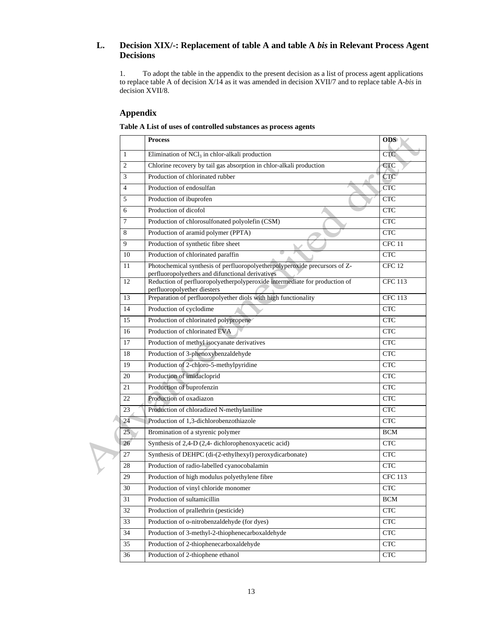### **L. Decision XIX/-: Replacement of table A and table A** *bis* **in Relevant Process Agent Decisions**

 1. To adopt the table in the appendix to the present decision as a list of process agent applications to replace table A of decision X/14 as it was amended in decision XVII/7 and to replace table A-*bis* in decision XVII/8.

### **Appendix**

| Table A List of uses of controlled substances as process agents |  |  |  |  |  |  |
|-----------------------------------------------------------------|--|--|--|--|--|--|
|-----------------------------------------------------------------|--|--|--|--|--|--|

| <b>Process</b> |                                                                                                                                |                             |  |
|----------------|--------------------------------------------------------------------------------------------------------------------------------|-----------------------------|--|
| 1              | Elimination of NCl <sub>3</sub> in chlor-alkali production                                                                     | <b>CTC</b>                  |  |
| $\overline{c}$ | Chlorine recovery by tail gas absorption in chlor-alkali production                                                            | <b>CTC</b>                  |  |
| 3              | Production of chlorinated rubber                                                                                               | <b>CTC</b>                  |  |
| $\overline{4}$ | Production of endosulfan                                                                                                       | <b>CTC</b>                  |  |
| 5              | Production of ibuprofen                                                                                                        | <b>CTC</b>                  |  |
| 6              | Production of dicofol                                                                                                          | <b>CTC</b>                  |  |
| 7              | Production of chlorosulfonated polyolefin (CSM)                                                                                | <b>CTC</b>                  |  |
| 8              | Production of aramid polymer (PPTA)                                                                                            | $\ensuremath{\mathbf{CTC}}$ |  |
| 9              | Production of synthetic fibre sheet                                                                                            | CFC <sub>11</sub>           |  |
| 10             | Production of chlorinated paraffin                                                                                             | $\ensuremath{\mathbf{CTC}}$ |  |
| 11             | Photochemical synthesis of perfluoropolyetherpolyperoxide precursors of Z-<br>perfluoropolyethers and difunctional derivatives | CFC <sub>12</sub>           |  |
| 12             | Reduction of perfluoropolyetherpolyperoxide intermediate for production of<br>perfluoropolyether diesters                      | <b>CFC 113</b>              |  |
| 13             | Preparation of perfluoropolyether diols with high functionality                                                                | <b>CFC 113</b>              |  |
| 14             | Production of cyclodime                                                                                                        | <b>CTC</b>                  |  |
| 15             | Production of chlorinated polypropene                                                                                          | <b>CTC</b>                  |  |
| 16             | Production of chlorinated EVA                                                                                                  | <b>CTC</b>                  |  |
| 17             | Production of methyl isocyanate derivatives                                                                                    | <b>CTC</b>                  |  |
| 18             | Production of 3-phenoxybenzaldehyde                                                                                            | <b>CTC</b>                  |  |
| 19             | Production of 2-chloro-5-methylpyridine                                                                                        | <b>CTC</b>                  |  |
| 20             | Production of imidacloprid                                                                                                     | <b>CTC</b>                  |  |
| 21             | Production of buprofenzin                                                                                                      | <b>CTC</b>                  |  |
| 22             | Production of oxadiazon                                                                                                        | <b>CTC</b>                  |  |
| 23             | Production of chloradized N-methylaniline                                                                                      | <b>CTC</b>                  |  |
| 24             | Production of 1,3-dichlorobenzothiazole                                                                                        | <b>CTC</b>                  |  |
| 25             | Bromination of a styrenic polymer                                                                                              | <b>BCM</b>                  |  |
| 26             | Synthesis of 2,4-D (2,4- dichlorophenoxyacetic acid)                                                                           | <b>CTC</b>                  |  |
| 27             | Synthesis of DEHPC (di-(2-ethylhexyl) peroxydicarbonate)                                                                       | <b>CTC</b>                  |  |
| 28             | Production of radio-labelled cyanocobalamin                                                                                    | <b>CTC</b>                  |  |
| 29             | Production of high modulus polyethylene fibre                                                                                  | <b>CFC 113</b>              |  |
| $30\,$         | Production of vinyl chloride monomer                                                                                           | CTC                         |  |
| 31             | Production of sultamicillin                                                                                                    | <b>BCM</b>                  |  |
| 32             | Production of prallethrin (pesticide)                                                                                          | <b>CTC</b>                  |  |
| 33             | Production of o-nitrobenzaldehyde (for dyes)                                                                                   | <b>CTC</b>                  |  |
| 34             | Production of 3-methyl-2-thiophenecarboxaldehyde                                                                               | <b>CTC</b>                  |  |
| 35             | Production of 2-thiophenecarboxaldehyde                                                                                        | <b>CTC</b>                  |  |
| 36             | Production of 2-thiophene ethanol                                                                                              | <b>CTC</b>                  |  |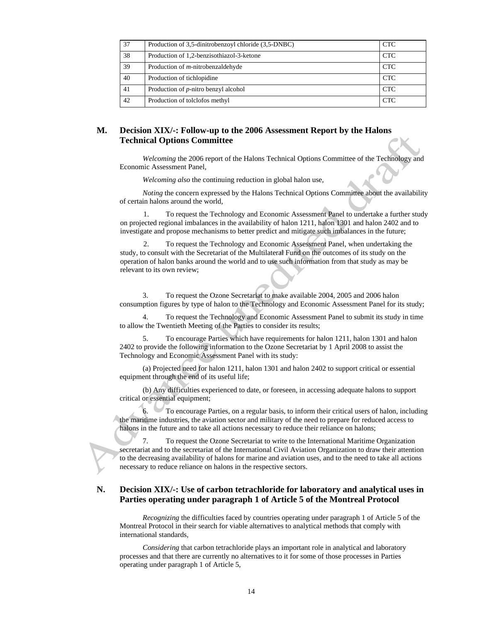| 37 | Production of 3.5-dinitrobenzoyl chloride (3.5-DNBC) | <b>CTC</b> |
|----|------------------------------------------------------|------------|
| 38 | Production of 1,2-benzisothiazol-3-ketone            | <b>CTC</b> |
| 39 | Production of <i>m</i> -nitrobenzaldehyde            | <b>CTC</b> |
| 40 | Production of tichlopidine                           | <b>CTC</b> |
| 41 | Production of <i>p</i> -nitro benzyl alcohol         | <b>CTC</b> |
| 42 | Production of tolclofos methyl                       | <b>CTC</b> |

### **M. Decision XIX/-: Follow-up to the 2006 Assessment Report by the Halons Technical Options Committee**

 *Welcoming* the 2006 report of the Halons Technical Options Committee of the Technology and Economic Assessment Panel*,* 

*Welcoming also* the continuing reduction in global halon use*,* 

*Noting* the concern expressed by the Halons Technical Options Committee about the availability of certain halons around the world*,* 

To request the Technology and Economic Assessment Panel to undertake a further study on projected regional imbalances in the availability of halon 1211, halon 1301 and halon 2402 and to investigate and propose mechanisms to better predict and mitigate such imbalances in the future;

2. To request the Technology and Economic Assessment Panel, when undertaking the study, to consult with the Secretariat of the Multilateral Fund on the outcomes of its study on the operation of halon banks around the world and to use such information from that study as may be relevant to its own review;

3. To request the Ozone Secretariat to make available 2004, 2005 and 2006 halon consumption figures by type of halon to the Technology and Economic Assessment Panel for its study;

4. To request the Technology and Economic Assessment Panel to submit its study in time to allow the Twentieth Meeting of the Parties to consider its results;

5. To encourage Parties which have requirements for halon 1211, halon 1301 and halon 2402 to provide the following information to the Ozone Secretariat by 1 April 2008 to assist the Technology and Economic Assessment Panel with its study:

(a) Projected need for halon 1211, halon 1301 and halon 2402 to support critical or essential equipment through the end of its useful life;

(b) Any difficulties experienced to date, or foreseen, in accessing adequate halons to support critical or essential equipment;

6. To encourage Parties, on a regular basis, to inform their critical users of halon, including the maritime industries, the aviation sector and military of the need to prepare for reduced access to halons in the future and to take all actions necessary to reduce their reliance on halons;

7. To request the Ozone Secretariat to write to the International Maritime Organization secretariat and to the secretariat of the International Civil Aviation Organization to draw their attention to the decreasing availability of halons for marine and aviation uses, and to the need to take all actions necessary to reduce reliance on halons in the respective sectors.

### **N. Decision XIX/-: Use of carbon tetrachloride for laboratory and analytical uses in Parties operating under paragraph 1 of Article 5 of the Montreal Protocol**

*Recognizing* the difficulties faced by countries operating under paragraph 1 of Article 5 of the Montreal Protocol in their search for viable alternatives to analytical methods that comply with international standards,

*Considering* that carbon tetrachloride plays an important role in analytical and laboratory processes and that there are currently no alternatives to it for some of those processes in Parties operating under paragraph 1 of Article 5,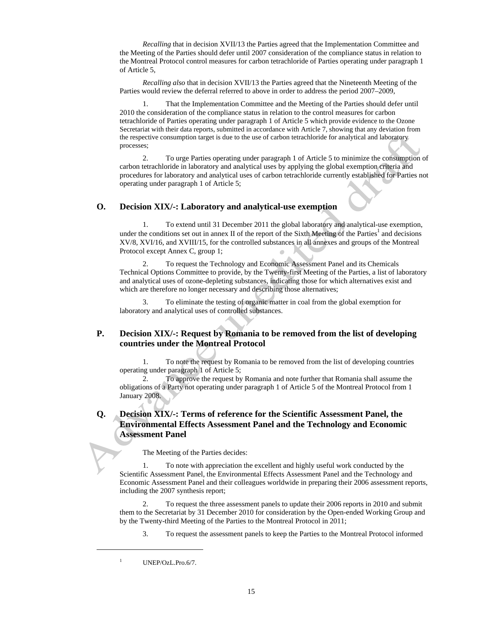*Recalling* that in decision XVII/13 the Parties agreed that the Implementation Committee and the Meeting of the Parties should defer until 2007 consideration of the compliance status in relation to the Montreal Protocol control measures for carbon tetrachloride of Parties operating under paragraph 1 of Article 5,

*Recalling also* that in decision XVII/13 the Parties agreed that the Nineteenth Meeting of the Parties would review the deferral referred to above in order to address the period 2007–2009,

1. That the Implementation Committee and the Meeting of the Parties should defer until 2010 the consideration of the compliance status in relation to the control measures for carbon tetrachloride of Parties operating under paragraph 1 of Article 5 which provide evidence to the Ozone Secretariat with their data reports, submitted in accordance with Article 7, showing that any deviation from the respective consumption target is due to the use of carbon tetrachloride for analytical and laboratory processes;

2. To urge Parties operating under paragraph 1 of Article 5 to minimize the consumption of carbon tetrachloride in laboratory and analytical uses by applying the global exemption criteria and procedures for laboratory and analytical uses of carbon tetrachloride currently established for Parties not operating under paragraph 1 of Article 5;

### **O. Decision XIX/-: Laboratory and analytical-use exemption**

1. To extend until 31 December 2011 the global laboratory and analytical-use exemption, under the conditions set out in annex II of the report of the Sixth Meeting of the Parties<sup>1</sup> and decisions XV/8, XVI/16, and XVIII/15, for the controlled substances in all annexes and groups of the Montreal Protocol except Annex C, group 1;

2. To request the Technology and Economic Assessment Panel and its Chemicals Technical Options Committee to provide, by the Twenty-first Meeting of the Parties, a list of laboratory and analytical uses of ozone-depleting substances, indicating those for which alternatives exist and which are therefore no longer necessary and describing those alternatives;

3. To eliminate the testing of organic matter in coal from the global exemption for laboratory and analytical uses of controlled substances.

### **P. Decision XIX/-: Request by Romania to be removed from the list of developing countries under the Montreal Protocol**

1. To note the request by Romania to be removed from the list of developing countries operating under paragraph 1 of Article 5;

2. To approve the request by Romania and note further that Romania shall assume the obligations of a Party not operating under paragraph 1 of Article 5 of the Montreal Protocol from 1 January 2008.

### **Q. Decision XIX/-: Terms of reference for the Scientific Assessment Panel, the Environmental Effects Assessment Panel and the Technology and Economic Assessment Panel**

The Meeting of the Parties decides:

1. To note with appreciation the excellent and highly useful work conducted by the Scientific Assessment Panel, the Environmental Effects Assessment Panel and the Technology and Economic Assessment Panel and their colleagues worldwide in preparing their 2006 assessment reports, including the 2007 synthesis report;

2. To request the three assessment panels to update their 2006 reports in 2010 and submit them to the Secretariat by 31 December 2010 for consideration by the Open-ended Working Group and by the Twenty-third Meeting of the Parties to the Montreal Protocol in 2011;

3. To request the assessment panels to keep the Parties to the Montreal Protocol informed

 $\overline{a}$ 

<sup>1</sup> UNEP/OzL.Pro.6/7.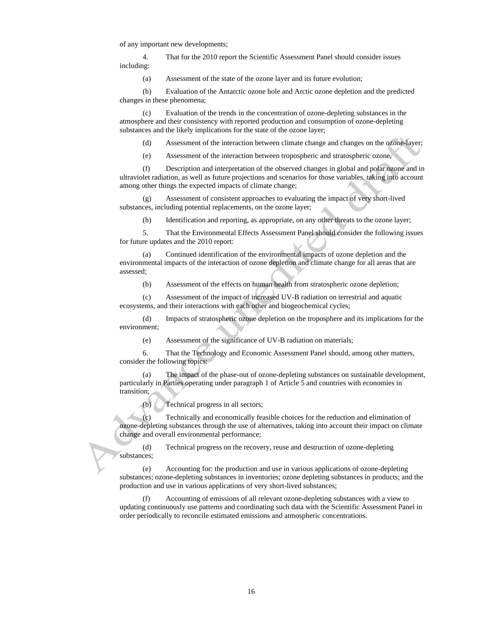of any important new developments;

4. That for the 2010 report the Scientific Assessment Panel should consider issues including:

(a) Assessment of the state of the ozone layer and its future evolution;

(b) Evaluation of the Antarctic ozone hole and Arctic ozone depletion and the predicted changes in these phenomena;

(c) Evaluation of the trends in the concentration of ozone-depleting substances in the atmosphere and their consistency with reported production and consumption of ozone-depleting substances and the likely implications for the state of the ozone layer;

(d) Assessment of the interaction between climate change and changes on the ozone-layer;

(e) Assessment of the interaction between tropospheric and stratospheric ozone,

(f) Description and interpretation of the observed changes in global and polar ozone and in ultraviolet radiation, as well as future projections and scenarios for those variables, taking into account among other things the expected impacts of climate change;

 (g) Assessment of consistent approaches to evaluating the impact of very short-lived substances, including potential replacements, on the ozone layer;

(h) Identification and reporting, as appropriate, on any other threats to the ozone layer;

5. That the Environmental Effects Assessment Panel should consider the following issues for future updates and the 2010 report:

(a) Continued identification of the environmental impacts of ozone depletion and the environmental impacts of the interaction of ozone depletion and climate change for all areas that are assessed;

(b) Assessment of the effects on human health from stratospheric ozone depletion;

(c) Assessment of the impact of increased UV-B radiation on terrestrial and aquatic ecosystems, and their interactions with each other and biogeochemical cycles;

(d) Impacts of stratospheric ozone depletion on the troposphere and its implications for the environment;

(e) Assessment of the significance of UV-B radiation on materials;

6. That the Technology and Economic Assessment Panel should, among other matters, consider the following topics:

(a) The impact of the phase-out of ozone-depleting substances on sustainable development, particularly in Parties operating under paragraph 1 of Article 5 and countries with economies in transition;

(b) Technical progress in all sectors;

(c) Technically and economically feasible choices for the reduction and elimination of ozone-depleting substances through the use of alternatives, taking into account their impact on climate change and overall environmental performance;

(d) Technical progress on the recovery, reuse and destruction of ozone-depleting substances;

(e) Accounting for: the production and use in various applications of ozone-depleting substances; ozone-depleting substances in inventories; ozone depleting substances in products; and the production and use in various applications of very short-lived substances;

(f) Accounting of emissions of all relevant ozone-depleting substances with a view to updating continuously use patterns and coordinating such data with the Scientific Assessment Panel in order periodically to reconcile estimated emissions and atmospheric concentrations.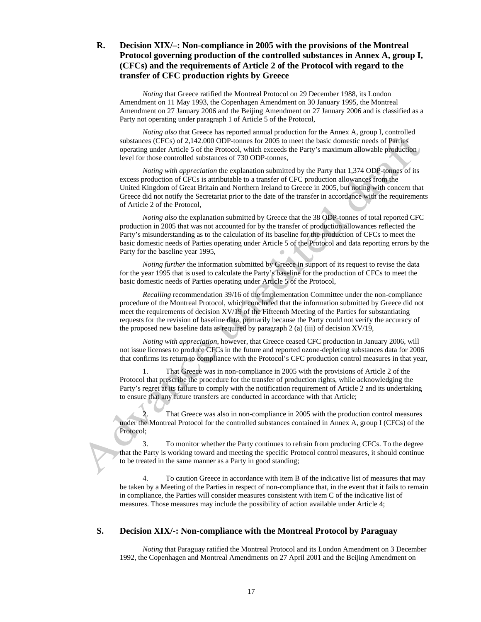### **R. Decision XIX/–: Non-compliance in 2005 with the provisions of the Montreal Protocol governing production of the controlled substances in Annex A, group I, (CFCs) and the requirements of Article 2 of the Protocol with regard to the transfer of CFC production rights by Greece**

*Noting* that Greece ratified the Montreal Protocol on 29 December 1988, its London Amendment on 11 May 1993, the Copenhagen Amendment on 30 January 1995, the Montreal Amendment on 27 January 2006 and the Beijing Amendment on 27 January 2006 and is classified as a Party not operating under paragraph 1 of Article 5 of the Protocol,

*Noting also* that Greece has reported annual production for the Annex A, group I, controlled substances (CFCs) of 2,142.000 ODP-tonnes for 2005 to meet the basic domestic needs of Parties operating under Article 5 of the Protocol, which exceeds the Party's maximum allowable production level for those controlled substances of 730 ODP-tonnes,

*Noting with appreciation* the explanation submitted by the Party that 1,374 ODP-tonnes of its excess production of CFCs is attributable to a transfer of CFC production allowances from the United Kingdom of Great Britain and Northern Ireland to Greece in 2005, but noting with concern that Greece did not notify the Secretariat prior to the date of the transfer in accordance with the requirements of Article 2 of the Protocol,

*Noting also* the explanation submitted by Greece that the 38 ODP-tonnes of total reported CFC production in 2005 that was not accounted for by the transfer of production allowances reflected the Party's misunderstanding as to the calculation of its baseline for the production of CFCs to meet the basic domestic needs of Parties operating under Article 5 of the Protocol and data reporting errors by the Party for the baseline year 1995,

*Noting further* the information submitted by Greece in support of its request to revise the data for the year 1995 that is used to calculate the Party's baseline for the production of CFCs to meet the basic domestic needs of Parties operating under Article 5 of the Protocol,

*Recalling* recommendation 39/16 of the Implementation Committee under the non-compliance procedure of the Montreal Protocol, which concluded that the information submitted by Greece did not meet the requirements of decision XV/19 of the Fifteenth Meeting of the Parties for substantiating requests for the revision of baseline data, primarily because the Party could not verify the accuracy of the proposed new baseline data as required by paragraph 2 (a) (iii) of decision XV/19,

*Noting with appreciation*, however, that Greece ceased CFC production in January 2006, will not issue licenses to produce CFCs in the future and reported ozone-depleting substances data for 2006 that confirms its return to compliance with the Protocol's CFC production control measures in that year,

1. That Greece was in non-compliance in 2005 with the provisions of Article 2 of the Protocol that prescribe the procedure for the transfer of production rights, while acknowledging the Party's regret at its failure to comply with the notification requirement of Article 2 and its undertaking to ensure that any future transfers are conducted in accordance with that Article;

That Greece was also in non-compliance in 2005 with the production control measures under the Montreal Protocol for the controlled substances contained in Annex A, group I (CFCs) of the Protocol;

3. To monitor whether the Party continues to refrain from producing CFCs. To the degree that the Party is working toward and meeting the specific Protocol control measures, it should continue to be treated in the same manner as a Party in good standing;

4. To caution Greece in accordance with item B of the indicative list of measures that may be taken by a Meeting of the Parties in respect of non-compliance that, in the event that it fails to remain in compliance, the Parties will consider measures consistent with item C of the indicative list of measures. Those measures may include the possibility of action available under Article 4;

### **S. Decision XIX/-: Non-compliance with the Montreal Protocol by Paraguay**

*Noting* that Paraguay ratified the Montreal Protocol and its London Amendment on 3 December 1992, the Copenhagen and Montreal Amendments on 27 April 2001 and the Beijing Amendment on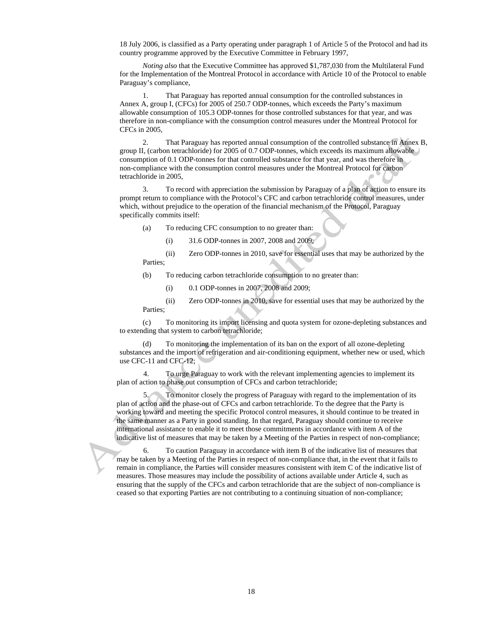18 July 2006, is classified as a Party operating under paragraph 1 of Article 5 of the Protocol and had its country programme approved by the Executive Committee in February 1997,

*Noting also* that the Executive Committee has approved \$1,787,030 from the Multilateral Fund for the Implementation of the Montreal Protocol in accordance with Article 10 of the Protocol to enable Paraguay's compliance,

1. That Paraguay has reported annual consumption for the controlled substances in Annex A, group I, (CFCs) for 2005 of 250.7 ODP-tonnes, which exceeds the Party's maximum allowable consumption of 105.3 ODP-tonnes for those controlled substances for that year, and was therefore in non-compliance with the consumption control measures under the Montreal Protocol for CFCs in 2005,

2. That Paraguay has reported annual consumption of the controlled substance in Annex B, group II, (carbon tetrachloride) for 2005 of 0.7 ODP-tonnes, which exceeds its maximum allowable consumption of 0.1 ODP-tonnes for that controlled substance for that year, and was therefore in non-compliance with the consumption control measures under the Montreal Protocol for carbon tetrachloride in 2005,

3. To record with appreciation the submission by Paraguay of a plan of action to ensure its prompt return to compliance with the Protocol's CFC and carbon tetrachloride control measures, under which, without prejudice to the operation of the financial mechanism of the Protocol, Paraguay specifically commits itself:

(a) To reducing CFC consumption to no greater than:

(i) 31.6 ODP-tonnes in 2007, 2008 and 2009;

(ii) Zero ODP-tonnes in 2010, save for essential uses that may be authorized by the Parties;

(b) To reducing carbon tetrachloride consumption to no greater than:

(i) 0.1 ODP-tonnes in 2007, 2008 and 2009;

(ii) Zero ODP-tonnes in 2010, save for essential uses that may be authorized by the Parties;

(c) To monitoring its import licensing and quota system for ozone-depleting substances and to extending that system to carbon tetrachloride;

To monitoring the implementation of its ban on the export of all ozone-depleting substances and the import of refrigeration and air-conditioning equipment, whether new or used, which use CFC-11 and CFC-12;

4. To urge Paraguay to work with the relevant implementing agencies to implement its plan of action to phase out consumption of CFCs and carbon tetrachloride;

5. To monitor closely the progress of Paraguay with regard to the implementation of its plan of action and the phase-out of CFCs and carbon tetrachloride. To the degree that the Party is working toward and meeting the specific Protocol control measures, it should continue to be treated in the same manner as a Party in good standing. In that regard, Paraguay should continue to receive international assistance to enable it to meet those commitments in accordance with item A of the indicative list of measures that may be taken by a Meeting of the Parties in respect of non-compliance;

6. To caution Paraguay in accordance with item B of the indicative list of measures that may be taken by a Meeting of the Parties in respect of non-compliance that, in the event that it fails to remain in compliance, the Parties will consider measures consistent with item C of the indicative list of measures. Those measures may include the possibility of actions available under Article 4, such as ensuring that the supply of the CFCs and carbon tetrachloride that are the subject of non-compliance is ceased so that exporting Parties are not contributing to a continuing situation of non-compliance;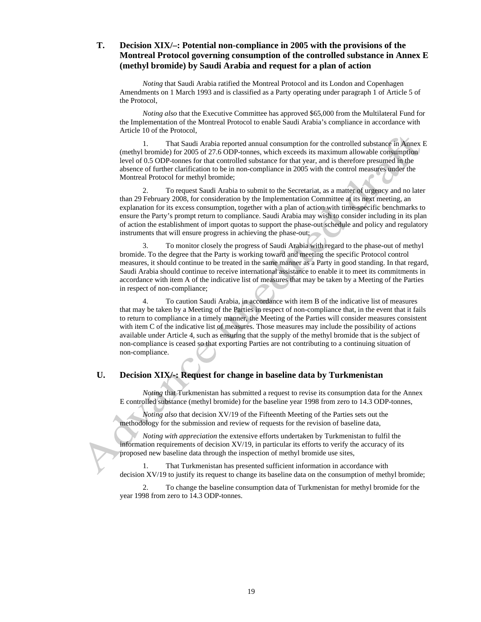### **T. Decision XIX/–: Potential non-compliance in 2005 with the provisions of the Montreal Protocol governing consumption of the controlled substance in Annex E (methyl bromide) by Saudi Arabia and request for a plan of action**

*Noting* that Saudi Arabia ratified the Montreal Protocol and its London and Copenhagen Amendments on 1 March 1993 and is classified as a Party operating under paragraph 1 of Article 5 of the Protocol,

*Noting also* that the Executive Committee has approved \$65,000 from the Multilateral Fund for the Implementation of the Montreal Protocol to enable Saudi Arabia's compliance in accordance with Article 10 of the Protocol,

1. That Saudi Arabia reported annual consumption for the controlled substance in Annex E (methyl bromide) for 2005 of 27.6 ODP-tonnes, which exceeds its maximum allowable consumption level of 0.5 ODP-tonnes for that controlled substance for that year, and is therefore presumed in the absence of further clarification to be in non-compliance in 2005 with the control measures under the Montreal Protocol for methyl bromide;

2. To request Saudi Arabia to submit to the Secretariat, as a matter of urgency and no later than 29 February 2008, for consideration by the Implementation Committee at its next meeting, an explanation for its excess consumption, together with a plan of action with time-specific benchmarks to ensure the Party's prompt return to compliance. Saudi Arabia may wish to consider including in its plan of action the establishment of import quotas to support the phase-out schedule and policy and regulatory instruments that will ensure progress in achieving the phase-out;

3. To monitor closely the progress of Saudi Arabia with regard to the phase-out of methyl bromide. To the degree that the Party is working toward and meeting the specific Protocol control measures, it should continue to be treated in the same manner as a Party in good standing. In that regard, Saudi Arabia should continue to receive international assistance to enable it to meet its commitments in accordance with item A of the indicative list of measures that may be taken by a Meeting of the Parties in respect of non-compliance;

4. To caution Saudi Arabia, in accordance with item B of the indicative list of measures that may be taken by a Meeting of the Parties in respect of non-compliance that, in the event that it fails to return to compliance in a timely manner, the Meeting of the Parties will consider measures consistent with item C of the indicative list of measures. Those measures may include the possibility of actions available under Article 4, such as ensuring that the supply of the methyl bromide that is the subject of non-compliance is ceased so that exporting Parties are not contributing to a continuing situation of non-compliance.

#### **U. Decision XIX/-: Request for change in baseline data by Turkmenistan**

*Noting* that Turkmenistan has submitted a request to revise its consumption data for the Annex E controlled substance (methyl bromide) for the baseline year 1998 from zero to 14.3 ODP-tonnes,

*Noting also* that decision XV/19 of the Fifteenth Meeting of the Parties sets out the methodology for the submission and review of requests for the revision of baseline data,

*Noting with appreciation* the extensive efforts undertaken by Turkmenistan to fulfil the information requirements of decision XV/19, in particular its efforts to verify the accuracy of its proposed new baseline data through the inspection of methyl bromide use sites,

1. That Turkmenistan has presented sufficient information in accordance with decision XV/19 to justify its request to change its baseline data on the consumption of methyl bromide;

2. To change the baseline consumption data of Turkmenistan for methyl bromide for the year 1998 from zero to 14.3 ODP-tonnes.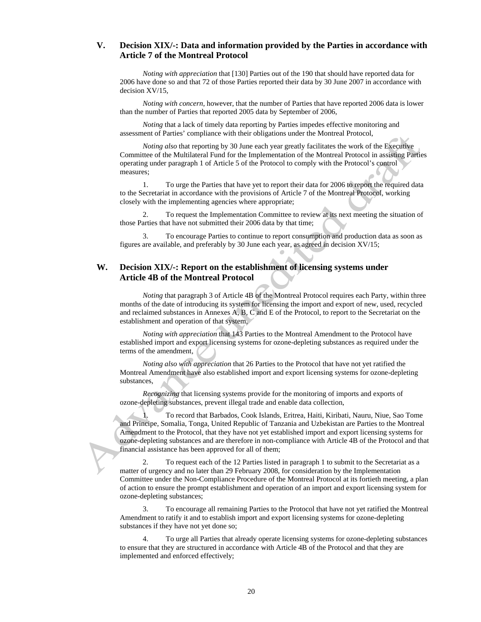### **V. Decision XIX/-: Data and information provided by the Parties in accordance with Article 7 of the Montreal Protocol**

*Noting with appreciation* that [130] Parties out of the 190 that should have reported data for 2006 have done so and that 72 of those Parties reported their data by 30 June 2007 in accordance with decision XV/15,

*Noting with concern*, however, that the number of Parties that have reported 2006 data is lower than the number of Parties that reported 2005 data by September of 2006,

*Noting* that a lack of timely data reporting by Parties impedes effective monitoring and assessment of Parties' compliance with their obligations under the Montreal Protocol,

*Noting also* that reporting by 30 June each year greatly facilitates the work of the Executive Committee of the Multilateral Fund for the Implementation of the Montreal Protocol in assisting Parties operating under paragraph 1 of Article 5 of the Protocol to comply with the Protocol's control measures;

1. To urge the Parties that have yet to report their data for 2006 to report the required data to the Secretariat in accordance with the provisions of Article 7 of the Montreal Protocol, working closely with the implementing agencies where appropriate;

2. To request the Implementation Committee to review at its next meeting the situation of those Parties that have not submitted their 2006 data by that time;

3. To encourage Parties to continue to report consumption and production data as soon as figures are available, and preferably by 30 June each year, as agreed in decision XV/15;

### **W. Decision XIX/-: Report on the establishment of licensing systems under Article 4B of the Montreal Protocol**

*Noting* that paragraph 3 of Article 4B of the Montreal Protocol requires each Party, within three months of the date of introducing its system for licensing the import and export of new, used, recycled and reclaimed substances in Annexes A, B, C and E of the Protocol, to report to the Secretariat on the establishment and operation of that system*,* 

*Noting with appreciation* that 143 Parties to the Montreal Amendment to the Protocol have established import and export licensing systems for ozone-depleting substances as required under the terms of the amendment*,* 

*Noting also with appreciation* that 26 Parties to the Protocol that have not yet ratified the Montreal Amendment have also established import and export licensing systems for ozone-depleting substances,

*Recognizing* that licensing systems provide for the monitoring of imports and exports of ozone-depleting substances, prevent illegal trade and enable data collection,

1. To record that Barbados, Cook Islands, Eritrea, Haiti, Kiribati, Nauru, Niue, Sao Tome and Principe, Somalia, Tonga, United Republic of Tanzania and Uzbekistan are Parties to the Montreal Amendment to the Protocol, that they have not yet established import and export licensing systems for ozone-depleting substances and are therefore in non-compliance with Article 4B of the Protocol and that financial assistance has been approved for all of them;

2. To request each of the 12 Parties listed in paragraph 1 to submit to the Secretariat as a matter of urgency and no later than 29 February 2008, for consideration by the Implementation Committee under the Non-Compliance Procedure of the Montreal Protocol at its fortieth meeting, a plan of action to ensure the prompt establishment and operation of an import and export licensing system for ozone-depleting substances;

3. To encourage all remaining Parties to the Protocol that have not yet ratified the Montreal Amendment to ratify it and to establish import and export licensing systems for ozone-depleting substances if they have not yet done so;

4. To urge all Parties that already operate licensing systems for ozone-depleting substances to ensure that they are structured in accordance with Article 4B of the Protocol and that they are implemented and enforced effectively;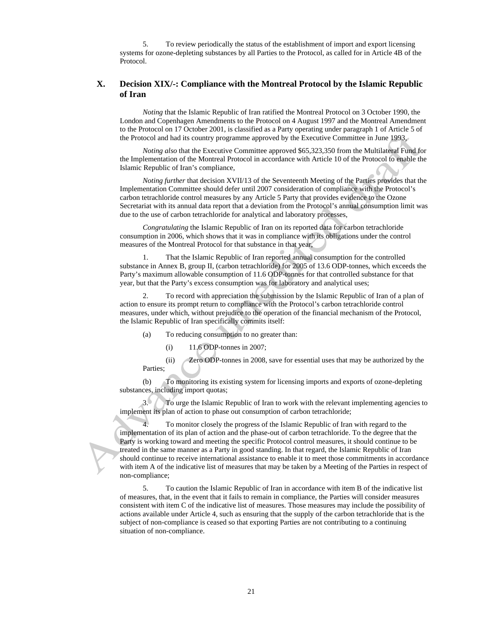5. To review periodically the status of the establishment of import and export licensing systems for ozone-depleting substances by all Parties to the Protocol, as called for in Article 4B of the Protocol.

### **X. Decision XIX/-: Compliance with the Montreal Protocol by the Islamic Republic of Iran**

*Noting* that the Islamic Republic of Iran ratified the Montreal Protocol on 3 October 1990, the London and Copenhagen Amendments to the Protocol on 4 August 1997 and the Montreal Amendment to the Protocol on 17 October 2001, is classified as a Party operating under paragraph 1 of Article 5 of the Protocol and had its country programme approved by the Executive Committee in June 1993*,* 

*Noting also* that the Executive Committee approved \$65,323,350 from the Multilateral Fund for the Implementation of the Montreal Protocol in accordance with Article 10 of the Protocol to enable the Islamic Republic of Iran's compliance,

*Noting further* that decision XVII/13 of the Seventeenth Meeting of the Parties provides that the Implementation Committee should defer until 2007 consideration of compliance with the Protocol's carbon tetrachloride control measures by any Article 5 Party that provides evidence to the Ozone Secretariat with its annual data report that a deviation from the Protocol's annual consumption limit was due to the use of carbon tetrachloride for analytical and laboratory processes,

*Congratulating* the Islamic Republic of Iran on its reported data for carbon tetrachloride consumption in 2006, which shows that it was in compliance with its obligations under the control measures of the Montreal Protocol for that substance in that year,

1. That the Islamic Republic of Iran reported annual consumption for the controlled substance in Annex B, group II, (carbon tetrachloride) for 2005 of 13.6 ODP-tonnes, which exceeds the Party's maximum allowable consumption of 11.6 ODP-tonnes for that controlled substance for that year, but that the Party's excess consumption was for laboratory and analytical uses;

2. To record with appreciation the submission by the Islamic Republic of Iran of a plan of action to ensure its prompt return to compliance with the Protocol's carbon tetrachloride control measures, under which, without prejudice to the operation of the financial mechanism of the Protocol, the Islamic Republic of Iran specifically commits itself:

- (a) To reducing consumption to no greater than:
	- (i) 11.6 ODP-tonnes in 2007;

 (ii) Zero ODP-tonnes in 2008, save for essential uses that may be authorized by the Parties;

 (b) To monitoring its existing system for licensing imports and exports of ozone-depleting substances, including import quotas;

3. To urge the Islamic Republic of Iran to work with the relevant implementing agencies to implement its plan of action to phase out consumption of carbon tetrachloride;

4. To monitor closely the progress of the Islamic Republic of Iran with regard to the implementation of its plan of action and the phase-out of carbon tetrachloride. To the degree that the Party is working toward and meeting the specific Protocol control measures, it should continue to be treated in the same manner as a Party in good standing. In that regard, the Islamic Republic of Iran should continue to receive international assistance to enable it to meet those commitments in accordance with item A of the indicative list of measures that may be taken by a Meeting of the Parties in respect of non-compliance;

5. To caution the Islamic Republic of Iran in accordance with item B of the indicative list of measures, that, in the event that it fails to remain in compliance, the Parties will consider measures consistent with item C of the indicative list of measures. Those measures may include the possibility of actions available under Article 4, such as ensuring that the supply of the carbon tetrachloride that is the subject of non-compliance is ceased so that exporting Parties are not contributing to a continuing situation of non-compliance.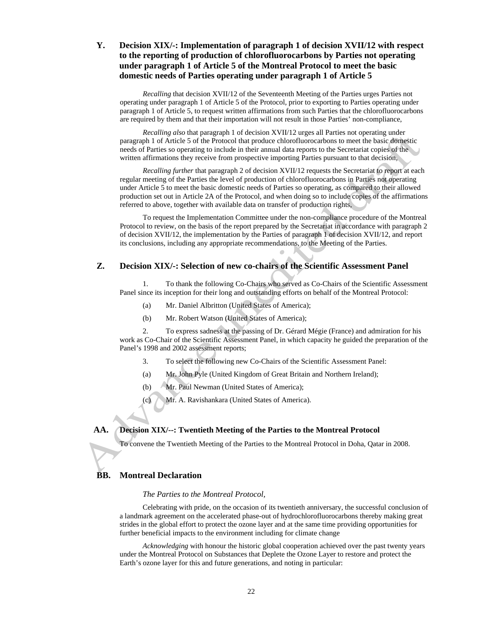### **Y. Decision XIX/-: Implementation of paragraph 1 of decision XVII/12 with respect to the reporting of production of chlorofluorocarbons by Parties not operating under paragraph 1 of Article 5 of the Montreal Protocol to meet the basic domestic needs of Parties operating under paragraph 1 of Article 5**

*Recalling* that decision XVII/12 of the Seventeenth Meeting of the Parties urges Parties not operating under paragraph 1 of Article 5 of the Protocol, prior to exporting to Parties operating under paragraph 1 of Article 5, to request written affirmations from such Parties that the chlorofluorocarbons are required by them and that their importation will not result in those Parties' non-compliance,

*Recalling also* that paragraph 1 of decision XVII/12 urges all Parties not operating under paragraph 1 of Article 5 of the Protocol that produce chlorofluorocarbons to meet the basic domestic needs of Parties so operating to include in their annual data reports to the Secretariat copies of the written affirmations they receive from prospective importing Parties pursuant to that decision*,* 

*Recalling further* that paragraph 2 of decision XVII/12 requests the Secretariat to report at each regular meeting of the Parties the level of production of chlorofluorocarbons in Parties not operating under Article 5 to meet the basic domestic needs of Parties so operating, as compared to their allowed production set out in Article 2A of the Protocol, and when doing so to include copies of the affirmations referred to above, together with available data on transfer of production rights,

To request the Implementation Committee under the non-compliance procedure of the Montreal Protocol to review, on the basis of the report prepared by the Secretariat in accordance with paragraph 2 of decision XVII/12, the implementation by the Parties of paragraph 1 of decision XVII/12, and report its conclusions, including any appropriate recommendations, to the Meeting of the Parties.

### **Z. Decision XIX/-: Selection of new co-chairs of the Scientific Assessment Panel**

1. To thank the following Co-Chairs who served as Co-Chairs of the Scientific Assessment Panel since its inception for their long and outstanding efforts on behalf of the Montreal Protocol:

- (a) Mr. Daniel Albritton (United States of America);
- (b) Mr. Robert Watson (United States of America);

2. To express sadness at the passing of Dr. Gérard Mégie (France) and admiration for his work as Co-Chair of the Scientific Assessment Panel, in which capacity he guided the preparation of the Panel's 1998 and 2002 assessment reports;

- 3. To select the following new Co-Chairs of the Scientific Assessment Panel:
- (a) Mr. John Pyle (United Kingdom of Great Britain and Northern Ireland);
- (b) Mr. Paul Newman (United States of America);
- (c) Mr. A. Ravishankara (United States of America).

#### **AA. Decision XIX/--: Twentieth Meeting of the Parties to the Montreal Protocol**

To convene the Twentieth Meeting of the Parties to the Montreal Protocol in Doha, Qatar in 2008.

#### **BB. Montreal Declaration**

#### *The Parties to the Montreal Protocol,*

Celebrating with pride, on the occasion of its twentieth anniversary, the successful conclusion of a landmark agreement on the accelerated phase-out of hydrochlorofluorocarbons thereby making great strides in the global effort to protect the ozone layer and at the same time providing opportunities for further beneficial impacts to the environment including for climate change

*Acknowledging* with honour the historic global cooperation achieved over the past twenty years under the Montreal Protocol on Substances that Deplete the Ozone Layer to restore and protect the Earth's ozone layer for this and future generations, and noting in particular: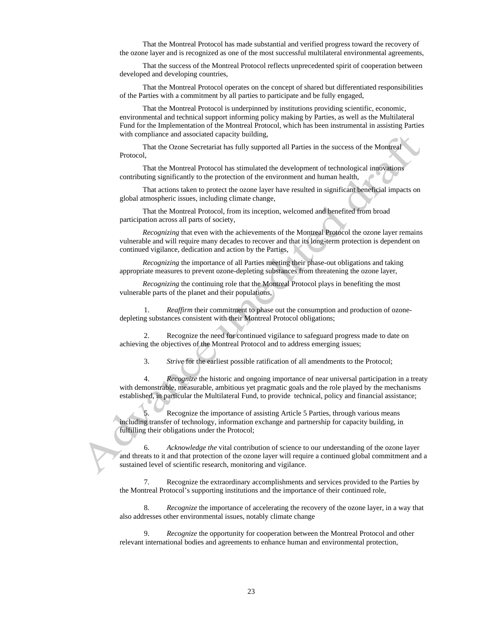That the Montreal Protocol has made substantial and verified progress toward the recovery of the ozone layer and is recognized as one of the most successful multilateral environmental agreements,

That the success of the Montreal Protocol reflects unprecedented spirit of cooperation between developed and developing countries,

That the Montreal Protocol operates on the concept of shared but differentiated responsibilities of the Parties with a commitment by all parties to participate and be fully engaged,

That the Montreal Protocol is underpinned by institutions providing scientific, economic, environmental and technical support informing policy making by Parties, as well as the Multilateral Fund for the Implementation of the Montreal Protocol, which has been instrumental in assisting Parties with compliance and associated capacity building,

That the Ozone Secretariat has fully supported all Parties in the success of the Montreal Protocol,

That the Montreal Protocol has stimulated the development of technological innovations contributing significantly to the protection of the environment and human health,

That actions taken to protect the ozone layer have resulted in significant beneficial impacts on global atmospheric issues, including climate change,

That the Montreal Protocol, from its inception, welcomed and benefited from broad participation across all parts of society,

*Recognizing* that even with the achievements of the Montreal Protocol the ozone layer remains vulnerable and will require many decades to recover and that its long-term protection is dependent on continued vigilance, dedication and action by the Parties,

*Recognizing* the importance of all Parties meeting their phase-out obligations and taking appropriate measures to prevent ozone-depleting substances from threatening the ozone layer,

*Recognizing* the continuing role that the Montreal Protocol plays in benefiting the most vulnerable parts of the planet and their populations,

1. *Reaffirm* their commitment to phase out the consumption and production of ozonedepleting substances consistent with their Montreal Protocol obligations;

2. Recognize the need for continued vigilance to safeguard progress made to date on achieving the objectives of the Montreal Protocol and to address emerging issues;

3. *Strive* for the earliest possible ratification of all amendments to the Protocol;

4. *Recognize* the historic and ongoing importance of near universal participation in a treaty with demonstrable, measurable, ambitious yet pragmatic goals and the role played by the mechanisms established, in particular the Multilateral Fund, to provide technical, policy and financial assistance;

Recognize the importance of assisting Article 5 Parties, through various means including transfer of technology, information exchange and partnership for capacity building, in fulfilling their obligations under the Protocol;

6. *Acknowledge the* vital contribution of science to our understanding of the ozone layer and threats to it and that protection of the ozone layer will require a continued global commitment and a sustained level of scientific research, monitoring and vigilance.

7. Recognize the extraordinary accomplishments and services provided to the Parties by the Montreal Protocol's supporting institutions and the importance of their continued role,

8. *Recognize* the importance of accelerating the recovery of the ozone layer, in a way that also addresses other environmental issues, notably climate change

9. *Recognize* the opportunity for cooperation between the Montreal Protocol and other relevant international bodies and agreements to enhance human and environmental protection,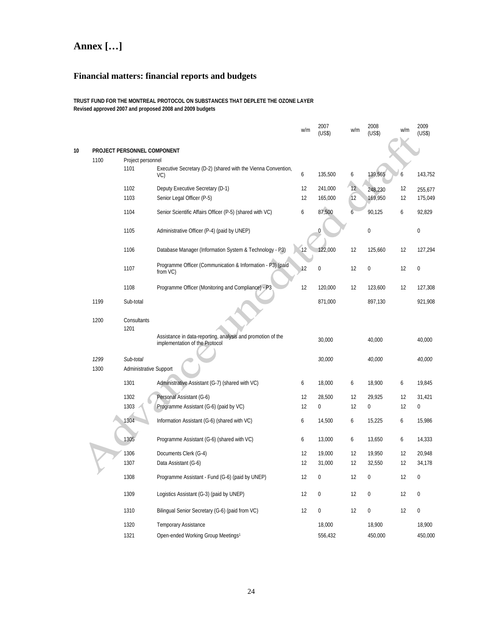# **Annex […]**

# **Financial matters: financial reports and budgets**

**TRUST FUND FOR THE MONTREAL PROTOCOL ON SUBSTANCES THAT DEPLETE THE OZONE LAYER Revised approved 2007 and proposed 2008 and 2009 budgets** 

|    |              |                                     |                                                                        | w/m | 2007<br>(US\$)   | w/m | 2008<br>(US\$) | w/m | 2009<br>(US\$)   |
|----|--------------|-------------------------------------|------------------------------------------------------------------------|-----|------------------|-----|----------------|-----|------------------|
| 10 |              | PROJECT PERSONNEL COMPONENT         |                                                                        |     |                  |     |                |     |                  |
|    | 1100         | Project personnel                   |                                                                        |     |                  |     |                |     |                  |
|    |              | 1101                                | Executive Secretary (D-2) (shared with the Vienna Convention,<br>VC)   | 6   | 135,500          | 6   | 139,565        | 6   | 143,752          |
|    |              | 1102                                | Deputy Executive Secretary (D-1)                                       | 12  | 241,000          | 12  | 248,230        | 12  | 255,677          |
|    |              | 1103                                | Senior Legal Officer (P-5)                                             | 12  | 165,000          | 12  | 169,950        | 12  | 175,049          |
|    |              | 1104                                | Senior Scientific Affairs Officer (P-5) (shared with VC)               | 6   | 87,500           | 6   | 90,125         | 6   | 92,829           |
|    |              | 1105                                | Administrative Officer (P-4) (paid by UNEP)                            |     | Ω                |     | 0              |     | 0                |
|    |              | 1106                                | Database Manager (Information System & Technology - P3)                | 12  | 122,000          | 12  | 125,660        | 12  | 127,294          |
|    |              | 1107                                | Programme Officer (Communication & Information - P3) (paid<br>from VC) | 12  | $\mathbf{0}$     | 12  | $\pmb{0}$      | 12  | $\boldsymbol{0}$ |
|    |              | 1108                                | Programme Officer (Monitoring and Compliance) - P3                     | 12  | 120,000          | 12  | 123,600        | 12  | 127,308          |
|    | 1199         | Sub-total                           |                                                                        |     | 871,000          |     | 897,130        |     | 921,908          |
|    | 1200         | Consultants<br>1201                 | Assistance in data-reporting, analysis and promotion of the            |     |                  |     |                |     |                  |
|    |              |                                     | implementation of the Protocol                                         |     | 30,000           |     | 40,000         |     | 40,000           |
|    | 1299<br>1300 | Sub-total<br>Administrative Support |                                                                        |     | 30,000           |     | 40,000         |     | 40,000           |
|    |              | 1301                                | Administrative Assistant (G-7) (shared with VC)                        | 6   | 18,000           | 6   | 18,900         | 6   | 19,845           |
|    |              | 1302                                | Personal Assistant (G-6)                                               | 12  | 28,500           | 12  | 29,925         | 12  | 31,421           |
|    |              | 1303                                | Programme Assistant (G-6) (paid by VC)                                 | 12  | 0                | 12  | 0              | 12  | 0                |
|    |              | 1304                                | Information Assistant (G-6) (shared with VC)                           | 6   | 14,500           | 6   | 15,225         | 6   | 15,986           |
|    |              | 1305                                | Programme Assistant (G-6) (shared with VC)                             | 6   | 13,000           | 6   | 13,650         | 6   | 14,333           |
|    |              | 1306                                | Documents Clerk (G-4)                                                  | 12  | 19,000           | 12  | 19,950         | 12  | 20,948           |
|    |              | 1307                                | Data Assistant (G-6)                                                   | 12  | 31,000           | 12  | 32,550         | 12  | 34,178           |
|    |              | 1308                                | Programme Assistant - Fund (G-6) (paid by UNEP)                        | 12  |                  | 12  | 0              | 12  | 0                |
|    |              | 1309                                | Logistics Assistant (G-3) (paid by UNEP)                               | 12  | $\boldsymbol{0}$ | 12  | $\pmb{0}$      | 12  | 0                |
|    |              | 1310                                | Bilingual Senior Secretary (G-6) (paid from VC)                        | 12  | $\pmb{0}$        | 12  | $\pmb{0}$      | 12  | $\boldsymbol{0}$ |
|    |              | 1320                                | Temporary Assistance                                                   |     | 18,000           |     | 18,900         |     | 18,900           |
|    |              | 1321                                | Open-ended Working Group Meetings <sup>1</sup>                         |     | 556,432          |     | 450,000        |     | 450,000          |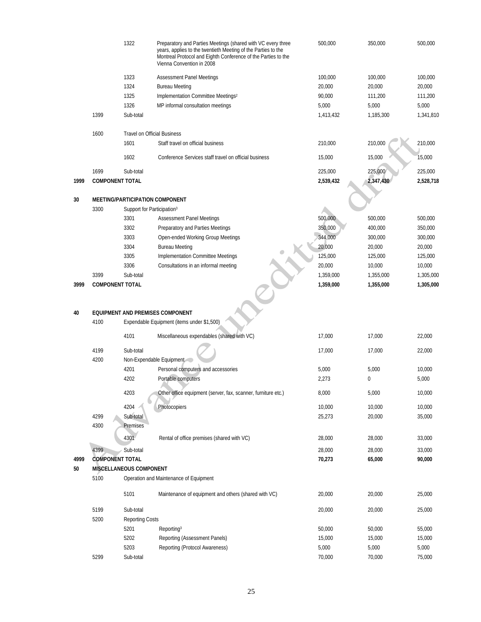|      |                        | 1322                                   | Preparatory and Parties Meetings (shared with VC every three<br>years, applies to the twentieth Meeting of the Parties to the<br>Montreal Protocol and Eighth Conference of the Parties to the<br>Vienna Convention in 2008 | 500,000   | 350,000   | 500,000   |
|------|------------------------|----------------------------------------|-----------------------------------------------------------------------------------------------------------------------------------------------------------------------------------------------------------------------------|-----------|-----------|-----------|
|      |                        | 1323                                   | <b>Assessment Panel Meetings</b>                                                                                                                                                                                            | 100,000   | 100,000   | 100,000   |
|      |                        | 1324                                   | <b>Bureau Meeting</b>                                                                                                                                                                                                       | 20,000    | 20,000    | 20,000    |
|      |                        | 1325                                   | Implementation Committee Meetings <sup>2</sup>                                                                                                                                                                              | 90,000    | 111,200   | 111,200   |
|      |                        | 1326                                   | MP informal consultation meetings                                                                                                                                                                                           | 5,000     | 5,000     | 5,000     |
|      | 1399                   | Sub-total                              |                                                                                                                                                                                                                             | 1,413,432 | 1,185,300 | 1,341,810 |
|      | 1600                   |                                        | <b>Travel on Official Business</b>                                                                                                                                                                                          |           |           |           |
|      |                        | 1601                                   | Staff travel on official business                                                                                                                                                                                           | 210,000   | 210,000   | 210,000   |
|      |                        | 1602                                   | Conference Services staff travel on official business                                                                                                                                                                       | 15,000    | 15,000    | 15,000    |
|      | 1699                   | Sub-total                              |                                                                                                                                                                                                                             | 225,000   | 225,000   | 225,000   |
| 1999 | <b>COMPONENT TOTAL</b> |                                        |                                                                                                                                                                                                                             | 2,539,432 | 2,347,430 | 2,528,718 |
| 30   |                        |                                        | MEETING/PARTICIPATION COMPONENT                                                                                                                                                                                             |           |           |           |
|      | 3300                   | Support for Participation <sup>3</sup> |                                                                                                                                                                                                                             |           |           |           |
|      |                        | 3301                                   | <b>Assessment Panel Meetings</b>                                                                                                                                                                                            | 500,000   | 500,000   | 500,000   |
|      |                        | 3302                                   | Preparatory and Parties Meetings                                                                                                                                                                                            | 350,000   | 400,000   | 350,000   |
|      |                        | 3303                                   | Open-ended Working Group Meetings                                                                                                                                                                                           | 344,000   | 300,000   | 300,000   |
|      |                        | 3304                                   | <b>Bureau Meeting</b>                                                                                                                                                                                                       | 20,000    | 20,000    | 20,000    |
|      |                        | 3305                                   | Implementation Committee Meetings                                                                                                                                                                                           | 125,000   | 125,000   | 125,000   |
|      |                        | 3306                                   | Consultations in an informal meeting                                                                                                                                                                                        | 20,000    | 10,000    | 10,000    |
|      | 3399                   | Sub-total                              |                                                                                                                                                                                                                             | 1,359,000 | 1,355,000 | 1,305,000 |
| 3999 | <b>COMPONENT TOTAL</b> |                                        |                                                                                                                                                                                                                             | 1,359,000 | 1,355,000 | 1,305,000 |
| 40   | 4100                   |                                        | <b>EQUIPMENT AND PREMISES COMPONENT</b><br>Expendable Equipment (items under \$1,500)                                                                                                                                       |           |           |           |
|      |                        | 4101                                   | Miscellaneous expendables (shared with VC)                                                                                                                                                                                  | 17,000    | 17,000    | 22,000    |
|      | 4199                   | Sub-total                              |                                                                                                                                                                                                                             | 17,000    | 17,000    | 22,000    |
|      | 4200                   |                                        | Non-Expendable Equipment                                                                                                                                                                                                    |           |           |           |
|      |                        | 4201                                   | Personal computers and accessories                                                                                                                                                                                          | 5,000     | 5,000     | 10,000    |
|      |                        | 4202                                   | Portable computers                                                                                                                                                                                                          | 2,273     | 0         | 5,000     |
|      |                        | 4203                                   | Other office equipment (server, fax, scanner, furniture etc.)                                                                                                                                                               | 8,000     | 5,000     | 10,000    |
|      |                        | 4204                                   | Photocopiers                                                                                                                                                                                                                | 10,000    | 10,000    | 10,000    |
|      | 4299                   | Sub-total                              |                                                                                                                                                                                                                             | 25,273    | 20,000    | 35,000    |
|      | 4300                   | Premises                               |                                                                                                                                                                                                                             |           |           |           |
|      |                        | 4301                                   | Rental of office premises (shared with VC)                                                                                                                                                                                  | 28,000    | 28,000    | 33,000    |
|      |                        |                                        |                                                                                                                                                                                                                             |           |           |           |
|      | 4399                   | Sub-total                              |                                                                                                                                                                                                                             | 28,000    | 28,000    | 33,000    |
| 4999 | <b>COMPONENT TOTAL</b> |                                        |                                                                                                                                                                                                                             | 70,273    | 65,000    | 90,000    |
| 50   |                        | MISCELLANEOUS COMPONENT                |                                                                                                                                                                                                                             |           |           |           |
|      | 5100                   |                                        | Operation and Maintenance of Equipment                                                                                                                                                                                      |           |           |           |
|      |                        | 5101                                   | Maintenance of equipment and others (shared with VC)                                                                                                                                                                        | 20,000    | 20,000    | 25,000    |
|      | 5199                   | Sub-total                              |                                                                                                                                                                                                                             | 20,000    | 20,000    | 25,000    |
|      | 5200                   | <b>Reporting Costs</b>                 |                                                                                                                                                                                                                             |           |           |           |
|      |                        | 5201                                   | Reporting <sup>3</sup>                                                                                                                                                                                                      | 50,000    | 50,000    | 55,000    |
|      |                        | 5202                                   | Reporting (Assessment Panels)                                                                                                                                                                                               | 15,000    | 15,000    | 15,000    |
|      |                        | 5203                                   | Reporting (Protocol Awareness)                                                                                                                                                                                              | 5,000     | 5,000     | 5,000     |
|      | 5299                   | Sub-total                              |                                                                                                                                                                                                                             | 70,000    | 70,000    | 75,000    |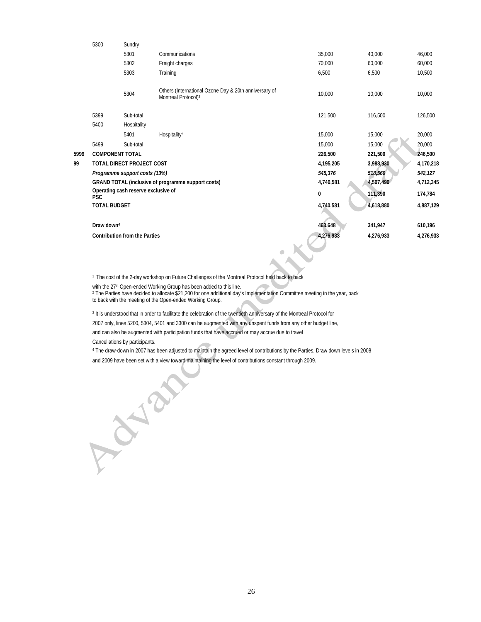|      | 5300                   | Sundry                               |                                                                                          |           |           |           |
|------|------------------------|--------------------------------------|------------------------------------------------------------------------------------------|-----------|-----------|-----------|
|      |                        | 5301                                 | Communications                                                                           | 35,000    | 40,000    | 46,000    |
|      |                        | 5302                                 | Freight charges                                                                          | 70,000    | 60,000    | 60,000    |
|      |                        | 5303                                 | Training                                                                                 | 6,500     | 6,500     | 10,500    |
|      |                        | 5304                                 | Others (International Ozone Day & 20th anniversary of<br>Montreal Protocol) <sup>3</sup> | 10,000    | 10,000    | 10,000    |
|      | 5399                   | Sub-total                            |                                                                                          | 121,500   | 116,500   | 126,500   |
|      | 5400                   | Hospitality                          |                                                                                          |           |           |           |
|      |                        | 5401                                 | Hospitality <sup>3</sup>                                                                 | 15,000    | 15,000    | 20,000    |
|      | 5499                   | Sub-total                            |                                                                                          | 15.000    | 15,000    | 20,000    |
| 5999 | <b>COMPONENT TOTAL</b> |                                      |                                                                                          | 226,500   | 221,500   | 246,500   |
| 99   |                        | TOTAL DIRECT PROJECT COST            |                                                                                          | 4,195,205 | 3,988,930 | 4,170,218 |
|      |                        | Programme support costs (13%)        |                                                                                          | 545,376   | 518,560   | 542,127   |
|      |                        |                                      | GRAND TOTAL (inclusive of programme support costs)                                       | 4,740,581 | 4,507,490 | 4,712,345 |
|      | <b>PSC</b>             | Operating cash reserve exclusive of  |                                                                                          | 0         | 111,390   | 174,784   |
|      | <b>TOTAL BUDGET</b>    |                                      |                                                                                          | 4,740,581 | 4,618,880 | 4,887,129 |
|      | Draw down <sup>4</sup> |                                      |                                                                                          | 463,648   | 341,947   | 610,196   |
|      |                        | <b>Contribution from the Parties</b> |                                                                                          | 4,276,933 | 4,276,933 | 4,276,933 |
|      |                        |                                      |                                                                                          |           |           |           |

1 The cost of the 2-day workshop on Future Challenges of the Montreal Protocol held back to back

with the 27<sup>th</sup> Open-ended Working Group has been added to this line.<br><sup>2</sup> The Parties have decided to allocate \$21,200 for one additional day's Implementation Committee meeting in the year, back to back with the meeting of the Open-ended Working Group.

<sup>3</sup> It is understood that in order to facilitate the celebration of the twentieth anniversary of the Montreal Protocol for

2007 only, lines 5200, 5304, 5401 and 3300 can be augmented with any unspent funds from any other budget line,

and can also be augmented with participation funds that have accrued or may accrue due to travel

Cancellations by participants.

Albert

4 The draw-down in 2007 has been adjusted to maintain the agreed level of contributions by the Parties. Draw down levels in 2008

and 2009 have been set with a view toward maintaining the level of contributions constant through 2009.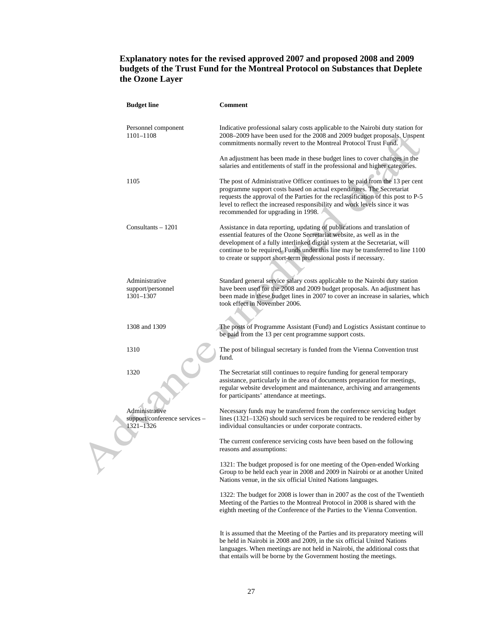### **Explanatory notes for the revised approved 2007 and proposed 2008 and 2009 budgets of the Trust Fund for the Montreal Protocol on Substances that Deplete the Ozone Layer**

|  | <b>Budget line</b>                                           | <b>Comment</b>                                                                                                                                                                                                                                                                                                                                                                          |
|--|--------------------------------------------------------------|-----------------------------------------------------------------------------------------------------------------------------------------------------------------------------------------------------------------------------------------------------------------------------------------------------------------------------------------------------------------------------------------|
|  | Personnel component<br>1101-1108                             | Indicative professional salary costs applicable to the Nairobi duty station for<br>2008-2009 have been used for the 2008 and 2009 budget proposals. Unspent<br>commitments normally revert to the Montreal Protocol Trust Fund.                                                                                                                                                         |
|  |                                                              | An adjustment has been made in these budget lines to cover changes in the<br>salaries and entitlements of staff in the professional and higher categories.                                                                                                                                                                                                                              |
|  | 1105                                                         | The post of Administrative Officer continues to be paid from the 13 per cent<br>programme support costs based on actual expenditures. The Secretariat<br>requests the approval of the Parties for the reclassification of this post to P-5<br>level to reflect the increased responsibility and work levels since it was<br>recommended for upgrading in 1998.                          |
|  | Consultants - 1201                                           | Assistance in data reporting, updating of publications and translation of<br>essential features of the Ozone Secretariat website, as well as in the<br>development of a fully interlinked digital system at the Secretariat, will<br>continue to be required. Funds under this line may be transferred to line 1100<br>to create or support short-term professional posts if necessary. |
|  | Administrative<br>support/personnel<br>1301-1307             | Standard general service salary costs applicable to the Nairobi duty station<br>have been used for the 2008 and 2009 budget proposals. An adjustment has<br>been made in these budget lines in 2007 to cover an increase in salaries, which<br>took effect in November 2006.                                                                                                            |
|  | 1308 and 1309                                                | The posts of Programme Assistant (Fund) and Logistics Assistant continue to<br>be paid from the 13 per cent programme support costs.                                                                                                                                                                                                                                                    |
|  | 1310                                                         | The post of bilingual secretary is funded from the Vienna Convention trust<br>fund.                                                                                                                                                                                                                                                                                                     |
|  | 1320                                                         | The Secretariat still continues to require funding for general temporary<br>assistance, particularly in the area of documents preparation for meetings,<br>regular website development and maintenance, archiving and arrangements<br>for participants' attendance at meetings.                                                                                                         |
|  | Administrative<br>support/conference services -<br>1321-1326 | Necessary funds may be transferred from the conference servicing budget<br>lines $(1321-1326)$ should such services be required to be rendered either by<br>individual consultancies or under corporate contracts.                                                                                                                                                                      |
|  |                                                              | The current conference servicing costs have been based on the following<br>reasons and assumptions:                                                                                                                                                                                                                                                                                     |
|  |                                                              | 1321: The budget proposed is for one meeting of the Open-ended Working<br>Group to be held each year in 2008 and 2009 in Nairobi or at another United<br>Nations venue, in the six official United Nations languages.                                                                                                                                                                   |
|  |                                                              | 1322: The budget for 2008 is lower than in 2007 as the cost of the Twentieth<br>Meeting of the Parties to the Montreal Protocol in 2008 is shared with the<br>eighth meeting of the Conference of the Parties to the Vienna Convention.                                                                                                                                                 |
|  |                                                              | It is assumed that the Meeting of the Parties and its preparatory meeting will<br>be held in Nairobi in 2008 and 2009, in the six official United Nations<br>languages. When meetings are not held in Nairobi, the additional costs that<br>that entails will be borne by the Government hosting the meetings.                                                                          |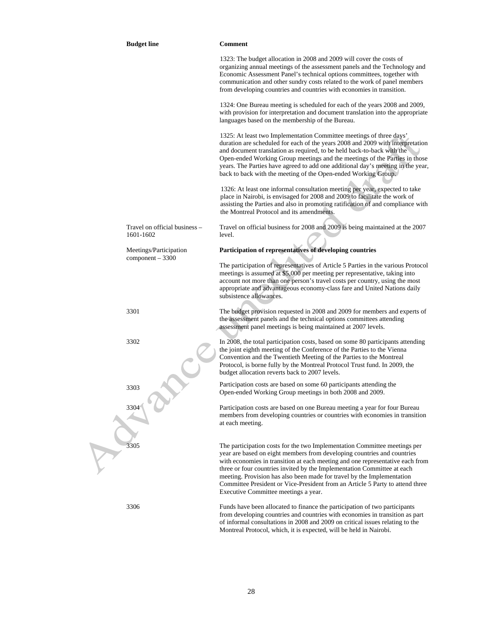| <b>Budget line</b>                           | <b>Comment</b>                                                                                                                                                                                                                                                                                                                                                                                                                                                                                                      |
|----------------------------------------------|---------------------------------------------------------------------------------------------------------------------------------------------------------------------------------------------------------------------------------------------------------------------------------------------------------------------------------------------------------------------------------------------------------------------------------------------------------------------------------------------------------------------|
|                                              | 1323: The budget allocation in 2008 and 2009 will cover the costs of<br>organizing annual meetings of the assessment panels and the Technology and<br>Economic Assessment Panel's technical options committees, together with<br>communication and other sundry costs related to the work of panel members<br>from developing countries and countries with economies in transition.                                                                                                                                 |
|                                              | 1324: One Bureau meeting is scheduled for each of the years 2008 and 2009,<br>with provision for interpretation and document translation into the appropriate<br>languages based on the membership of the Bureau.                                                                                                                                                                                                                                                                                                   |
|                                              | 1325: At least two Implementation Committee meetings of three days'<br>duration are scheduled for each of the years 2008 and 2009 with interpretation<br>and document translation as required, to be held back-to-back with the<br>Open-ended Working Group meetings and the meetings of the Parties in those<br>years. The Parties have agreed to add one additional day's meeting in the year,<br>back to back with the meeting of the Open-ended Working Group.                                                  |
|                                              | 1326: At least one informal consultation meeting per year, expected to take<br>place in Nairobi, is envisaged for 2008 and 2009 to facilitate the work of<br>assisting the Parties and also in promoting ratification of and compliance with<br>the Montreal Protocol and its amendments.                                                                                                                                                                                                                           |
| Travel on official business -<br>1601-1602   | Travel on official business for 2008 and 2009 is being maintained at the 2007<br>level.                                                                                                                                                                                                                                                                                                                                                                                                                             |
| Meetings/Participation<br>$component - 3300$ | Participation of representatives of developing countries                                                                                                                                                                                                                                                                                                                                                                                                                                                            |
|                                              | The participation of representatives of Article 5 Parties in the various Protocol<br>meetings is assumed at \$5,000 per meeting per representative, taking into<br>account not more than one person's travel costs per country, using the most<br>appropriate and advantageous economy-class fare and United Nations daily<br>subsistence allowances.                                                                                                                                                               |
| 3301                                         | The budget provision requested in 2008 and 2009 for members and experts of<br>the assessment panels and the technical options committees attending<br>assessment panel meetings is being maintained at 2007 levels.                                                                                                                                                                                                                                                                                                 |
| 3302                                         | In 2008, the total participation costs, based on some 80 participants attending<br>the joint eighth meeting of the Conference of the Parties to the Vienna<br>Convention and the Twentieth Meeting of the Parties to the Montreal<br>Protocol, is borne fully by the Montreal Protocol Trust fund. In 2009, the<br>budget allocation reverts back to 2007 levels.                                                                                                                                                   |
| 3303                                         | Participation costs are based on some 60 participants attending the<br>Open-ended Working Group meetings in both 2008 and 2009.                                                                                                                                                                                                                                                                                                                                                                                     |
| 3304                                         | Participation costs are based on one Bureau meeting a year for four Bureau<br>members from developing countries or countries with economies in transition<br>at each meeting.                                                                                                                                                                                                                                                                                                                                       |
| 3305                                         | The participation costs for the two Implementation Committee meetings per<br>year are based on eight members from developing countries and countries<br>with economies in transition at each meeting and one representative each from<br>three or four countries invited by the Implementation Committee at each<br>meeting. Provision has also been made for travel by the Implementation<br>Committee President or Vice-President from an Article 5 Party to attend three<br>Executive Committee meetings a year. |
| 3306                                         | Funds have been allocated to finance the participation of two participants<br>from developing countries and countries with economies in transition as part<br>of informal consultations in 2008 and 2009 on critical issues relating to the<br>Montreal Protocol, which, it is expected, will be held in Nairobi.                                                                                                                                                                                                   |

V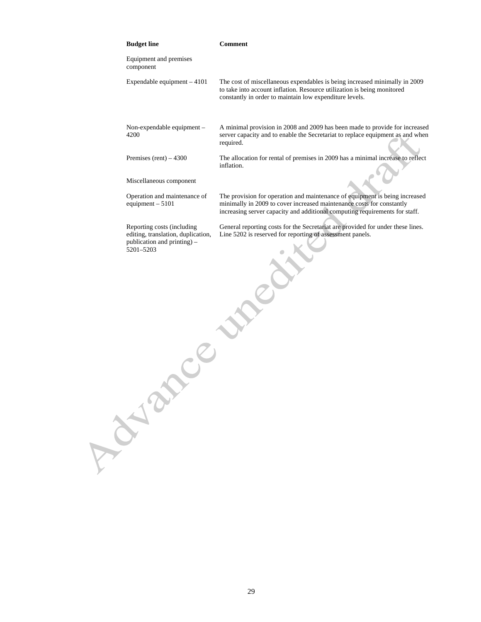| <b>Budget line</b> |                                                                                                         | <b>Comment</b>                                                                                                                                                                                                                      |
|--------------------|---------------------------------------------------------------------------------------------------------|-------------------------------------------------------------------------------------------------------------------------------------------------------------------------------------------------------------------------------------|
| component          | Equipment and premises                                                                                  |                                                                                                                                                                                                                                     |
|                    | Expendable equipment $-4101$                                                                            | The cost of miscellaneous expendables is being increased minimally in 2009<br>to take into account inflation. Resource utilization is being monitored<br>constantly in order to maintain low expenditure levels.                    |
| 4200               | Non-expendable equipment -                                                                              | A minimal provision in 2008 and 2009 has been made to provide for increased<br>server capacity and to enable the Secretariat to replace equipment as and when<br>required.                                                          |
|                    | Premises (rent) $-4300$                                                                                 | The allocation for rental of premises in 2009 has a minimal increase to reflect<br>inflation.                                                                                                                                       |
|                    | Miscellaneous component                                                                                 |                                                                                                                                                                                                                                     |
|                    | Operation and maintenance of<br>equipment $-5101$                                                       | The provision for operation and maintenance of equipment is being increased<br>minimally in 2009 to cover increased maintenance costs for constantly<br>increasing server capacity and additional computing requirements for staff. |
| 5201-5203          | Reporting costs (including<br>editing, translation, duplication,<br>publication and printing) -<br>Cent | General reporting costs for the Secretariat are provided for under these lines.<br>Line 5202 is reserved for reporting of assessment panels.                                                                                        |
| Ava                |                                                                                                         |                                                                                                                                                                                                                                     |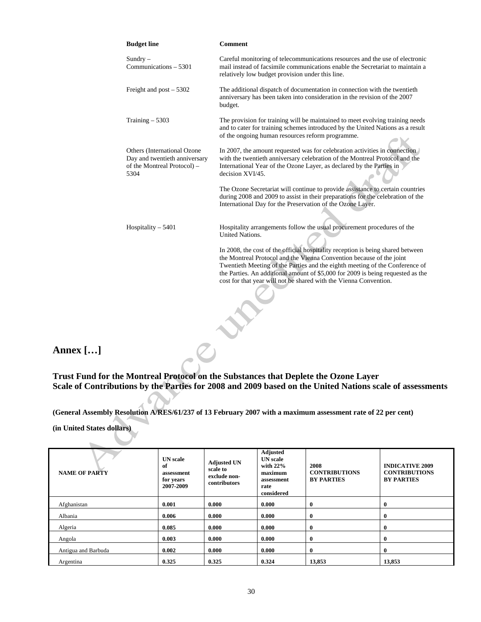| <b>Budget line</b>                                                                                  | <b>Comment</b>                                                                                                                                                                                                                                                                                                                                                                                  |  |  |  |  |
|-----------------------------------------------------------------------------------------------------|-------------------------------------------------------------------------------------------------------------------------------------------------------------------------------------------------------------------------------------------------------------------------------------------------------------------------------------------------------------------------------------------------|--|--|--|--|
| $S$ undry $-$<br>Communications – 5301                                                              | Careful monitoring of telecommunications resources and the use of electronic<br>mail instead of facsimile communications enable the Secretariat to maintain a<br>relatively low budget provision under this line.                                                                                                                                                                               |  |  |  |  |
| Freight and post $-5302$                                                                            | The additional dispatch of documentation in connection with the twentieth<br>anniversary has been taken into consideration in the revision of the 2007<br>budget.                                                                                                                                                                                                                               |  |  |  |  |
| Training $-5303$                                                                                    | The provision for training will be maintained to meet evolving training needs<br>and to cater for training schemes introduced by the United Nations as a result<br>of the ongoing human resources reform programme.                                                                                                                                                                             |  |  |  |  |
| Others (International Ozone<br>Day and twentieth anniversary<br>of the Montreal Protocol) -<br>5304 | In 2007, the amount requested was for celebration activities in connection<br>with the twentieth anniversary celebration of the Montreal Protocol and the<br>International Year of the Ozone Layer, as declared by the Parties in<br>decision XVI/45.                                                                                                                                           |  |  |  |  |
|                                                                                                     | The Ozone Secretariat will continue to provide assistance to certain countries<br>during 2008 and 2009 to assist in their preparations for the celebration of the<br>International Day for the Preservation of the Ozone Layer.                                                                                                                                                                 |  |  |  |  |
| Hospitality $-5401$                                                                                 | Hospitality arrangements follow the usual procurement procedures of the<br><b>United Nations.</b>                                                                                                                                                                                                                                                                                               |  |  |  |  |
|                                                                                                     | In 2008, the cost of the official hospitality reception is being shared between<br>the Montreal Protocol and the Vienna Convention because of the joint<br>Twentieth Meeting of the Parties and the eighth meeting of the Conference of<br>the Parties. An additional amount of \$5,000 for 2009 is being requested as the<br>cost for that year will not be shared with the Vienna Convention. |  |  |  |  |

**Annex […]** 

**Trust Fund for the Montreal Protocol on the Substances that Deplete the Ozone Layer Scale of Contributions by the Parties for 2008 and 2009 based on the United Nations scale of assessments** 

**(General Assembly Resolution A/RES/61/237 of 13 February 2007 with a maximum assessment rate of 22 per cent)** 

 $\overline{\mathcal{A}}$ 

**(in United States dollars)** 

| <b>NAME OF PARTY</b> | <b>UN</b> scale<br>of<br>assessment<br>for years<br>2007-2009 | <b>Adjusted UN</b><br>scale to<br>exclude non-<br>contributors | <b>Adjusted</b><br><b>UN</b> scale<br>with $22\%$<br>maximum<br>assessment<br>rate<br>considered | 2008<br><b>CONTRIBUTIONS</b><br><b>BY PARTIES</b> | <b>INDICATIVE 2009</b><br><b>CONTRIBUTIONS</b><br><b>BY PARTIES</b> |
|----------------------|---------------------------------------------------------------|----------------------------------------------------------------|--------------------------------------------------------------------------------------------------|---------------------------------------------------|---------------------------------------------------------------------|
| Afghanistan          | 0.001                                                         | 0.000                                                          | 0.000                                                                                            | $\bf{0}$                                          | $\bf{0}$                                                            |
| Albania              | 0.006                                                         | 0.000                                                          | 0.000                                                                                            | $\bf{0}$                                          | $\bf{0}$                                                            |
| Algeria              | 0.085                                                         | 0.000                                                          | 0.000                                                                                            | $\bf{0}$                                          | $\bf{0}$                                                            |
| Angola               | 0.003                                                         | 0.000                                                          | 0.000                                                                                            | $\bf{0}$                                          | $\bf{0}$                                                            |
| Antigua and Barbuda  | 0.002                                                         | 0.000                                                          | 0.000                                                                                            | $\bf{0}$                                          | $\bf{0}$                                                            |
| Argentina            | 0.325                                                         | 0.325                                                          | 0.324                                                                                            | 13,853                                            | 13,853                                                              |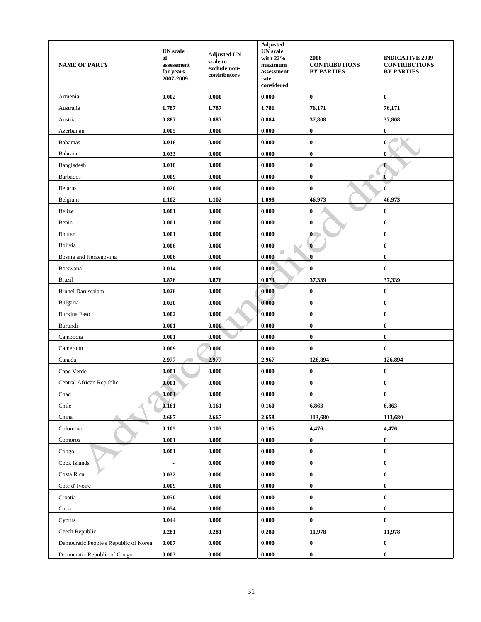| <b>NAME OF PARTY</b>                  | <b>UN</b> scale<br>of<br>assessment<br>for years<br>2007-2009 | <b>Adjusted UN</b><br>scale to<br>exclude non-<br>contributors | Adjusted<br><b>UN</b> scale<br>with 22%<br>maximum<br>assessment<br>rate<br>considered | 2008<br><b>CONTRIBUTIONS</b><br><b>BY PARTIES</b> | <b>INDICATIVE 2009</b><br><b>CONTRIBUTIONS</b><br><b>BY PARTIES</b> |
|---------------------------------------|---------------------------------------------------------------|----------------------------------------------------------------|----------------------------------------------------------------------------------------|---------------------------------------------------|---------------------------------------------------------------------|
| Armenia                               | 0.002                                                         | 0.000                                                          | 0.000                                                                                  | 0                                                 | $\bf{0}$                                                            |
| Australia                             | 1.787                                                         | 1.787                                                          | 1.781                                                                                  | 76,171                                            | 76,171                                                              |
| Austria                               | 0.887                                                         | 0.887                                                          | 0.884                                                                                  | 37,808                                            | 37,808                                                              |
| Azerbaijan                            | 0.005                                                         | 0.000                                                          | 0.000                                                                                  | $\bf{0}$                                          | $\bf{0}$                                                            |
| <b>Bahamas</b>                        | 0.016                                                         | 0.000                                                          | 0.000                                                                                  | $\bf{0}$                                          | $\bf{0}$                                                            |
| Bahrain                               | 0.033                                                         | 0.000                                                          | 0.000                                                                                  | $\bf{0}$                                          | $\bf{0}$                                                            |
| Bangladesh                            | 0.010                                                         | 0.000                                                          | 0.000                                                                                  | 0                                                 | $\bf{0}$                                                            |
| <b>Barbados</b>                       | 0.009                                                         | 0.000                                                          | 0.000                                                                                  | 0                                                 | $\bf{0}$                                                            |
| <b>Belarus</b>                        | 0.020                                                         | 0.000                                                          | 0.000                                                                                  | $\bf{0}$                                          | $\bf{0}$                                                            |
| Belgium                               | 1.102                                                         | 1.102                                                          | 1.098                                                                                  | 46,973                                            | 46,973                                                              |
| Belize                                | 0.001                                                         | 0.000                                                          | 0.000                                                                                  | 0                                                 | $\bf{0}$                                                            |
| Benin                                 | 0.001                                                         | 0.000                                                          | 0.000                                                                                  | $\bf{0}$                                          | $\bf{0}$                                                            |
| Bhutan                                | 0.001                                                         | 0.000                                                          | 0.000                                                                                  | $\mathbf{0}$                                      | $\bf{0}$                                                            |
| Bolivia                               | 0.006                                                         | 0.000                                                          | 0.000                                                                                  | $\bf{0}$                                          | $\bf{0}$                                                            |
| Bosnia and Herzegovina                | 0.006                                                         | 0.000                                                          | 0.000                                                                                  | $\bf{0}$                                          | $\bf{0}$                                                            |
| Botswana                              | 0.014                                                         | 0.000                                                          | 0.000                                                                                  | $\bf{0}$                                          | $\bf{0}$                                                            |
| <b>Brazil</b>                         | 0.876                                                         | 0.876                                                          | 0.873                                                                                  | 37,339                                            | 37,339                                                              |
| Brunei Darussalam                     | 0.026                                                         | 0.000                                                          | 0.000                                                                                  | $\bf{0}$                                          | $\bf{0}$                                                            |
| Bulgaria                              | 0.020                                                         | 0.000                                                          | 0.000                                                                                  | $\bf{0}$                                          | $\bf{0}$                                                            |
| Burkina Faso                          | 0.002                                                         | 0.000                                                          | 0.000                                                                                  | $\bf{0}$                                          | $\bf{0}$                                                            |
| Burundi                               | 0.001                                                         | 0.000                                                          | 0.000                                                                                  | $\boldsymbol{0}$                                  | $\bf{0}$                                                            |
| Cambodia                              | 0.001                                                         | 0.000                                                          | 0.000                                                                                  | 0                                                 | $\bf{0}$                                                            |
| Cameroon                              | 0.009                                                         | 0.000                                                          | 0.000                                                                                  | $\bf{0}$                                          | $\bf{0}$                                                            |
| Canada                                | 2.977                                                         | 2.977                                                          | 2.967                                                                                  | 126,894                                           | 126,894                                                             |
| Cape Verde                            | 0.001                                                         | 0.000                                                          | 0.000                                                                                  | $\boldsymbol{0}$                                  | $\bf{0}$                                                            |
| Central African Republic              | 0.001                                                         | 0.000                                                          | 0.000                                                                                  | 0                                                 | $\bf{0}$                                                            |
| Chad                                  | 0.001                                                         | 0.000                                                          | 0.000                                                                                  | $\bf{0}$                                          | $\bf{0}$                                                            |
| Chile                                 | 0.161                                                         | 0.161                                                          | 0.160                                                                                  | 6,863                                             | 6,863                                                               |
| China                                 | 2.667                                                         | 2.667                                                          | 2.658                                                                                  | 113,680                                           | 113,680                                                             |
| Colombia                              | 0.105                                                         | 0.105                                                          | 0.105                                                                                  | 4,476                                             | 4,476                                                               |
| Comoros                               | 0.001                                                         | 0.000                                                          | 0.000                                                                                  | $\bf{0}$                                          | $\bf{0}$                                                            |
| Congo                                 | 0.001                                                         | 0.000                                                          | 0.000                                                                                  | $\bf{0}$                                          | $\bf{0}$                                                            |
| Cook Islands                          | $\blacksquare$                                                | 0.000                                                          | 0.000                                                                                  | 0                                                 | $\bf{0}$                                                            |
| Costa Rica                            | 0.032                                                         | 0.000                                                          | 0.000                                                                                  | $\bf{0}$                                          | $\pmb{0}$                                                           |
| Cote d'Ivoire                         | 0.009                                                         | 0.000                                                          | 0.000                                                                                  | $\boldsymbol{0}$                                  | $\bf{0}$                                                            |
| Croatia                               | 0.050                                                         | 0.000                                                          | 0.000                                                                                  | 0                                                 | $\pmb{0}$                                                           |
| Cuba                                  | 0.054                                                         | 0.000                                                          | 0.000                                                                                  | $\bf{0}$                                          | $\bf{0}$                                                            |
| Cyprus                                | 0.044                                                         | 0.000                                                          | 0.000                                                                                  | $\bf{0}$                                          | $\bf{0}$                                                            |
| Czech Republic                        | 0.281                                                         | 0.281                                                          | 0.280                                                                                  | 11,978                                            | 11,978                                                              |
| Democratic People's Republic of Korea | 0.007                                                         | 0.000                                                          | 0.000                                                                                  | $\boldsymbol{0}$                                  | $\bf{0}$                                                            |
| Democratic Republic of Congo          | 0.003                                                         | 0.000                                                          | 0.000                                                                                  | $\pmb{0}$                                         | $\pmb{0}$                                                           |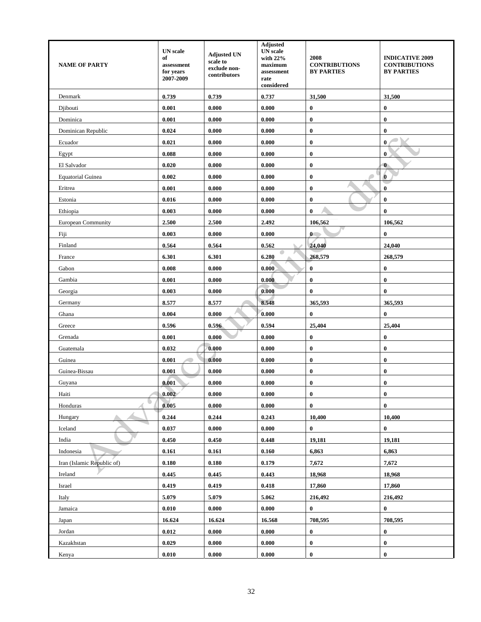| <b>NAME OF PARTY</b>       | <b>UN</b> scale<br>of<br>assessment<br>for years<br>2007-2009 | <b>Adjusted UN</b><br>scale to<br>exclude non-<br>contributors | <b>Adjusted</b><br><b>UN</b> scale<br>with 22%<br>maximum<br>assessment<br>rate<br>considered | 2008<br><b>CONTRIBUTIONS</b><br><b>BY PARTIES</b> | <b>INDICATIVE 2009</b><br><b>CONTRIBUTIONS</b><br><b>BY PARTIES</b> |
|----------------------------|---------------------------------------------------------------|----------------------------------------------------------------|-----------------------------------------------------------------------------------------------|---------------------------------------------------|---------------------------------------------------------------------|
| Denmark                    | 0.739                                                         | 0.739                                                          | 0.737                                                                                         | 31,500                                            | 31,500                                                              |
| Djibouti                   | 0.001                                                         | 0.000                                                          | 0.000                                                                                         | $\bf{0}$                                          | $\bf{0}$                                                            |
| Dominica                   | 0.001                                                         | 0.000                                                          | 0.000                                                                                         | $\bf{0}$                                          | $\bf{0}$                                                            |
| Dominican Republic         | 0.024                                                         | 0.000                                                          | 0.000                                                                                         | $\bf{0}$                                          | $\bf{0}$                                                            |
| Ecuador                    | 0.021                                                         | 0.000                                                          | 0.000                                                                                         | $\bf{0}$                                          | $\bf{0}$                                                            |
| Egypt                      | 0.088                                                         | 0.000                                                          | 0.000                                                                                         | $\bf{0}$                                          | $\bf{0}$                                                            |
| El Salvador                | 0.020                                                         | 0.000                                                          | 0.000                                                                                         | $\bf{0}$                                          | $\bf{0}$                                                            |
| <b>Equatorial Guinea</b>   | 0.002                                                         | 0.000                                                          | 0.000                                                                                         | $\bf{0}$                                          | $\bf{0}$                                                            |
| Eritrea                    | 0.001                                                         | 0.000                                                          | 0.000                                                                                         | 0                                                 | $\bf{0}$                                                            |
| Estonia                    | 0.016                                                         | 0.000                                                          | 0.000                                                                                         | $\bf{0}$                                          | $\bf{0}$                                                            |
| Ethiopia                   | 0.003                                                         | 0.000                                                          | 0.000                                                                                         | $\bf{0}$                                          | $\bf{0}$                                                            |
| European Community         | 2.500                                                         | 2.500                                                          | 2.492                                                                                         | 106,562                                           | 106,562                                                             |
| Fiji                       | 0.003                                                         | 0.000                                                          | 0.000                                                                                         | $\mathbf{0}$                                      | $\bf{0}$                                                            |
| Finland                    | 0.564                                                         | 0.564                                                          | 0.562                                                                                         | 24,040                                            | 24,040                                                              |
| France                     | 6.301                                                         | 6.301                                                          | 6.280                                                                                         | 268,579                                           | 268,579                                                             |
| Gabon                      | 0.008                                                         | 0.000                                                          | 0.000                                                                                         | $\bf{0}$                                          | $\pmb{0}$                                                           |
| Gambia                     | 0.001                                                         | 0.000                                                          | 0.000                                                                                         | $\bf{0}$                                          | $\bf{0}$                                                            |
| Georgia                    | 0.003                                                         | 0.000                                                          | 0.000                                                                                         | $\bf{0}$                                          | $\bf{0}$                                                            |
| Germany                    | 8.577                                                         | 8.577                                                          | 8.548                                                                                         | 365,593                                           | 365,593                                                             |
| Ghana                      | 0.004                                                         | 0.000                                                          | 0.000                                                                                         | $\bf{0}$                                          | $\bf{0}$                                                            |
| Greece                     | 0.596                                                         | 0.596                                                          | 0.594                                                                                         | 25,404                                            | 25,404                                                              |
| Grenada                    | 0.001                                                         | 0.000                                                          | 0.000                                                                                         | $\bf{0}$                                          | $\pmb{0}$                                                           |
| Guatemala                  | 0.032                                                         | 0.000                                                          | 0.000                                                                                         | $\bf{0}$                                          | $\bf{0}$                                                            |
| Guinea                     | 0.001                                                         | 0.000                                                          | 0.000                                                                                         | 0                                                 | $\bf{0}$                                                            |
| Guinea-Bissau              | 0.001                                                         | 0.000                                                          | 0.000                                                                                         | $\bf{0}$                                          | $\bf{0}$                                                            |
| Guyana                     | 0.001                                                         | 0.000                                                          | 0.000                                                                                         | $\bf{0}$                                          | $\bf{0}$                                                            |
| Haiti                      | 0.002                                                         | 0.000                                                          | 0.000                                                                                         | $\bf{0}$                                          | $\pmb{0}$                                                           |
| Honduras                   | 0.005                                                         | 0.000                                                          | 0.000                                                                                         | $\bf{0}$                                          | $\bf{0}$                                                            |
| Hungary                    | 0.244                                                         | 0.244                                                          | 0.243                                                                                         | 10,400                                            | 10,400                                                              |
| Iceland                    | 0.037                                                         | 0.000                                                          | 0.000                                                                                         | $\bf{0}$                                          | $\bf{0}$                                                            |
| India                      | 0.450                                                         | 0.450                                                          | 0.448                                                                                         | 19,181                                            | 19,181                                                              |
| Indonesia                  | 0.161                                                         | 0.161                                                          | 0.160                                                                                         | 6,863                                             | 6,863                                                               |
| Iran (Islamic Republic of) | 0.180                                                         | 0.180                                                          | 0.179                                                                                         | 7,672                                             | 7,672                                                               |
| Ireland                    | 0.445                                                         | 0.445                                                          | 0.443                                                                                         | 18,968                                            | 18,968                                                              |
| Israel                     | 0.419                                                         | 0.419                                                          | 0.418                                                                                         | 17,860                                            | 17,860                                                              |
| Italy                      | 5.079                                                         | 5.079                                                          | 5.062                                                                                         | 216,492                                           | 216,492                                                             |
| Jamaica                    | 0.010                                                         | 0.000                                                          | 0.000                                                                                         | $\bf{0}$                                          | $\pmb{0}$                                                           |
| Japan                      | 16.624                                                        | 16.624                                                         | 16.568                                                                                        | 708,595                                           | 708,595                                                             |
| Jordan                     | 0.012                                                         | 0.000                                                          | 0.000                                                                                         | $\bf{0}$                                          | $\bf{0}$                                                            |
| Kazakhstan                 | 0.029                                                         | 0.000                                                          | 0.000                                                                                         | $\bf{0}$                                          | $\bf{0}$                                                            |
| Kenya                      | 0.010                                                         | 0.000                                                          | 0.000                                                                                         | $\bf{0}$                                          | $\bf{0}$                                                            |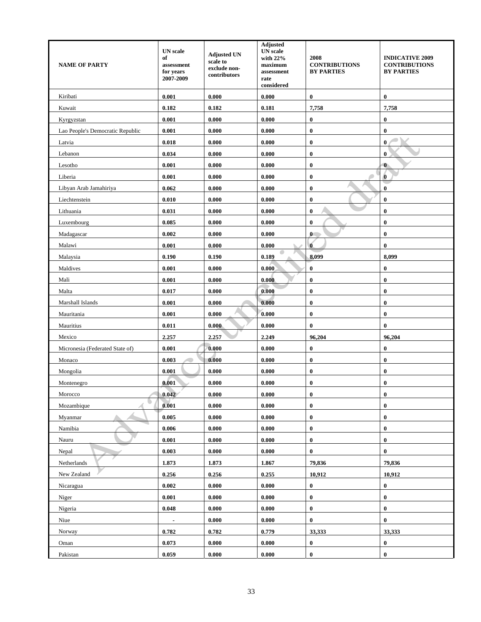| <b>NAME OF PARTY</b>             | <b>UN</b> scale<br>of<br>assessment<br>for years<br>2007-2009 | <b>Adjusted UN</b><br>scale to<br>exclude non-<br>contributors | Adjusted<br><b>UN</b> scale<br>with 22%<br>maximum<br>assessment<br>rate<br>considered | 2008<br><b>CONTRIBUTIONS</b><br><b>BY PARTIES</b> | <b>INDICATIVE 2009</b><br><b>CONTRIBUTIONS</b><br><b>BY PARTIES</b> |
|----------------------------------|---------------------------------------------------------------|----------------------------------------------------------------|----------------------------------------------------------------------------------------|---------------------------------------------------|---------------------------------------------------------------------|
| Kiribati                         | 0.001                                                         | 0.000                                                          | 0.000                                                                                  | 0                                                 | $\bf{0}$                                                            |
| Kuwait                           | 0.182                                                         | 0.182                                                          | 0.181                                                                                  | 7,758                                             | 7,758                                                               |
| Kyrgyzstan                       | 0.001                                                         | 0.000                                                          | 0.000                                                                                  | $\bf{0}$                                          | $\bf{0}$                                                            |
| Lao People's Democratic Republic | 0.001                                                         | 0.000                                                          | 0.000                                                                                  | $\bf{0}$                                          | $\bf{0}$                                                            |
| Latvia                           | 0.018                                                         | 0.000                                                          | 0.000                                                                                  | $\bf{0}$                                          | $\bf{0}$                                                            |
| Lebanon                          | 0.034                                                         | 0.000                                                          | 0.000                                                                                  | $\bf{0}$                                          | $\bf{0}$                                                            |
| Lesotho                          | 0.001                                                         | 0.000                                                          | 0.000                                                                                  | $\bf{0}$                                          | $\bf{0}$                                                            |
| Liberia                          | 0.001                                                         | 0.000                                                          | 0.000                                                                                  | $\bf{0}$                                          | $\bf{0}$                                                            |
| Libyan Arab Jamahiriya           | 0.062                                                         | 0.000                                                          | 0.000                                                                                  | $\bf{0}$                                          | $\bf{0}$                                                            |
| Liechtenstein                    | 0.010                                                         | 0.000                                                          | 0.000                                                                                  | $\pmb{0}$                                         | $\bf{0}$                                                            |
| Lithuania                        | 0.031                                                         | 0.000                                                          | 0.000                                                                                  | $\bf{0}$                                          | $\bf{0}$                                                            |
| Luxembourg                       | 0.085                                                         | 0.000                                                          | 0.000                                                                                  | $\bf{0}$                                          | $\bf{0}$                                                            |
| Madagascar                       | 0.002                                                         | 0.000                                                          | 0.000                                                                                  | $\mathbf{0}$                                      | $\bf{0}$                                                            |
| Malawi                           | 0.001                                                         | 0.000                                                          | 0.000                                                                                  | $\bf{0}$                                          | $\bf{0}$                                                            |
| Malaysia                         | 0.190                                                         | 0.190                                                          | 0.189                                                                                  | 8,099                                             | 8,099                                                               |
| Maldives                         | 0.001                                                         | 0.000                                                          | 0.000                                                                                  | $\bf{0}$                                          | 0                                                                   |
| Mali                             | 0.001                                                         | 0.000                                                          | 0.000                                                                                  | $\bf{0}$                                          | $\bf{0}$                                                            |
| Malta                            | 0.017                                                         | 0.000                                                          | 0.000                                                                                  | $\bf{0}$                                          | $\bf{0}$                                                            |
| Marshall Islands                 | 0.001                                                         | 0.000                                                          | 0.000                                                                                  | $\bf{0}$                                          | $\bf{0}$                                                            |
| Mauritania                       | 0.001                                                         | 0.000                                                          | 0.000                                                                                  | $\bf{0}$                                          | $\bf{0}$                                                            |
| Mauritius                        | 0.011                                                         | 0.000                                                          | 0.000                                                                                  | $\bf{0}$                                          | $\bf{0}$                                                            |
| Mexico                           | 2.257                                                         | 2.257                                                          | 2.249                                                                                  | 96,204                                            | 96,204                                                              |
| Micronesia (Federated State of)  | 0.001                                                         | 0.000                                                          | 0.000                                                                                  | $\bf{0}$                                          | $\bf{0}$                                                            |
| Monaco                           | 0.003                                                         | 0.000                                                          | 0.000                                                                                  | $\pmb{0}$                                         | $\bf{0}$                                                            |
| Mongolia                         | 0.001                                                         | 0.000                                                          | 0.000                                                                                  | $\bf{0}$                                          | $\bf{0}$                                                            |
| Montenegro                       | 0.001                                                         | 0.000                                                          | 0.000                                                                                  | $\bf{0}$                                          | $\bf{0}$                                                            |
| Morocco                          | 0.042                                                         | 0.000                                                          | 0.000                                                                                  | $\bf{0}$                                          | $\bf{0}$                                                            |
| Mozambique                       | 0.001                                                         | 0.000                                                          | 0.000                                                                                  | $\bf{0}$                                          | $\bf{0}$                                                            |
| Myanmar                          | 0.005                                                         | 0.000                                                          | 0.000                                                                                  | $\bf{0}$                                          | $\bf{0}$                                                            |
| Namibia                          | 0.006                                                         | 0.000                                                          | 0.000                                                                                  | $\boldsymbol{0}$                                  | $\bf{0}$                                                            |
| Nauru                            | 0.001                                                         | 0.000                                                          | 0.000                                                                                  | $\bf{0}$                                          | $\bf{0}$                                                            |
| Nepal                            | 0.003                                                         | 0.000                                                          | 0.000                                                                                  | $\bf{0}$                                          | $\bf{0}$                                                            |
| Netherlands                      | 1.873                                                         | 1.873                                                          | 1.867                                                                                  | 79,836                                            | 79,836                                                              |
| New Zealand                      | 0.256                                                         | 0.256                                                          | 0.255                                                                                  | 10,912                                            | 10,912                                                              |
| Nicaragua                        | 0.002                                                         | 0.000                                                          | 0.000                                                                                  | $\bf{0}$                                          | $\bf{0}$                                                            |
| Niger                            | 0.001                                                         | 0.000                                                          | 0.000                                                                                  | $\bf{0}$                                          | $\bf{0}$                                                            |
| Nigeria                          | 0.048                                                         | 0.000                                                          | 0.000                                                                                  | $\bf{0}$                                          | $\bf{0}$                                                            |
| Niue                             |                                                               | 0.000                                                          | 0.000                                                                                  | $\bf{0}$                                          | $\bf{0}$                                                            |
| Norway                           | 0.782                                                         | 0.782                                                          | 0.779                                                                                  | 33,333                                            | 33,333                                                              |
| Oman                             | 0.073                                                         | 0.000                                                          | 0.000                                                                                  | $\boldsymbol{0}$                                  | $\boldsymbol{0}$                                                    |
| Pakistan                         | 0.059                                                         | 0.000                                                          | 0.000                                                                                  | $\pmb{0}$                                         | $\bf{0}$                                                            |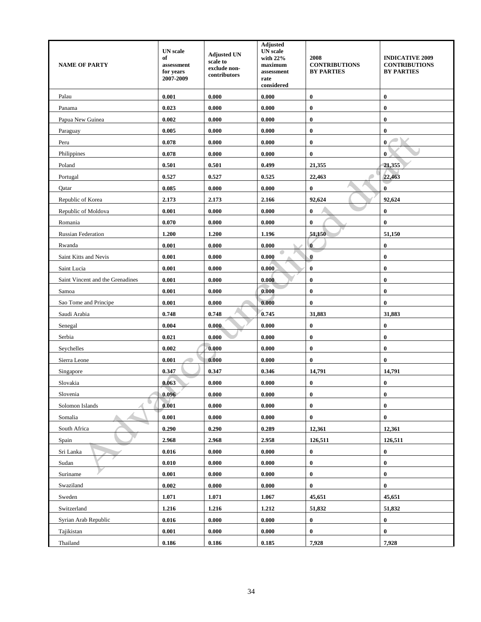| <b>NAME OF PARTY</b>             | <b>UN</b> scale<br>of<br>assessment<br>for years<br>2007-2009 | <b>Adjusted UN</b><br>scale to<br>exclude non-<br>contributors | <b>Adjusted</b><br><b>UN</b> scale<br>with 22%<br>maximum<br>assessment<br>rate<br>considered | 2008<br><b>CONTRIBUTIONS</b><br><b>BY PARTIES</b> | <b>INDICATIVE 2009</b><br><b>CONTRIBUTIONS</b><br><b>BY PARTIES</b> |
|----------------------------------|---------------------------------------------------------------|----------------------------------------------------------------|-----------------------------------------------------------------------------------------------|---------------------------------------------------|---------------------------------------------------------------------|
| Palau                            | 0.001                                                         | 0.000                                                          | 0.000                                                                                         | $\bf{0}$                                          | $\bf{0}$                                                            |
| Panama                           | 0.023                                                         | 0.000                                                          | 0.000                                                                                         | $\bf{0}$                                          | $\bf{0}$                                                            |
| Papua New Guinea                 | 0.002                                                         | 0.000                                                          | 0.000                                                                                         | $\bf{0}$                                          | $\bf{0}$                                                            |
| Paraguay                         | 0.005                                                         | 0.000                                                          | 0.000                                                                                         | $\bf{0}$                                          | $\bf{0}$                                                            |
| Peru                             | 0.078                                                         | 0.000                                                          | 0.000                                                                                         | $\bf{0}$                                          | $\mathbf{0}$                                                        |
| Philippines                      | 0.078                                                         | 0.000                                                          | 0.000                                                                                         | $\bf{0}$                                          | $\bf{0}$                                                            |
| Poland                           | 0.501                                                         | 0.501                                                          | 0.499                                                                                         | 21,355                                            | 21,355                                                              |
| Portugal                         | 0.527                                                         | 0.527                                                          | 0.525                                                                                         | 22,463                                            | 22,463                                                              |
| Qatar                            | 0.085                                                         | 0.000                                                          | 0.000                                                                                         | $\bf{0}$                                          | $\bf{0}$                                                            |
| Republic of Korea                | 2.173                                                         | 2.173                                                          | 2.166                                                                                         | 92,624                                            | 92,624                                                              |
| Republic of Moldova              | 0.001                                                         | 0.000                                                          | 0.000                                                                                         | $\bf{0}$                                          | $\bf{0}$                                                            |
| Romania                          | 0.070                                                         | 0.000                                                          | 0.000                                                                                         | $\bf{0}$                                          | $\bf{0}$                                                            |
| <b>Russian Federation</b>        | 1.200                                                         | 1.200                                                          | 1.196                                                                                         | 51,150                                            | 51,150                                                              |
| Rwanda                           | 0.001                                                         | 0.000                                                          | 0.000                                                                                         | $\overline{0}$                                    | $\bf{0}$                                                            |
| Saint Kitts and Nevis            | 0.001                                                         | 0.000                                                          | 0.000                                                                                         | $\bf{0}$                                          | $\bf{0}$                                                            |
| Saint Lucia                      | 0.001                                                         | 0.000                                                          | 0.000                                                                                         | $\bf{0}$                                          | $\bf{0}$                                                            |
| Saint Vincent and the Grenadines | 0.001                                                         | 0.000                                                          | 0.000                                                                                         | $\bf{0}$                                          | $\bf{0}$                                                            |
| Samoa                            | 0.001                                                         | 0.000                                                          | 0.000                                                                                         | $\bf{0}$                                          | $\bf{0}$                                                            |
| Sao Tome and Principe            | 0.001                                                         | 0.000                                                          | 0.000                                                                                         | 0                                                 | $\bf{0}$                                                            |
| Saudi Arabia                     | 0.748                                                         | 0.748                                                          | 0.745                                                                                         | 31,883                                            | 31,883                                                              |
| Senegal                          | 0.004                                                         | 0.000                                                          | 0.000                                                                                         | $\bf{0}$                                          | $\bf{0}$                                                            |
| Serbia                           | 0.021                                                         | 0.000                                                          | 0.000                                                                                         | $\bf{0}$                                          | $\bf{0}$                                                            |
| Seychelles                       | 0.002                                                         | 0.000                                                          | 0.000                                                                                         | $\bf{0}$                                          | $\bf{0}$                                                            |
| Sierra Leone                     | 0.001                                                         | 0.000                                                          | 0.000                                                                                         | $\bf{0}$                                          | $\bf{0}$                                                            |
| Singapore                        | 0.347                                                         | 0.347                                                          | 0.346                                                                                         | 14,791                                            | 14,791                                                              |
| Slovakia                         | 0.063                                                         | 0.000                                                          | 0.000                                                                                         | $\bf{0}$                                          | $\bf{0}$                                                            |
| Slovenia                         | 0.096                                                         | 0.000                                                          | 0.000                                                                                         | $\bf{0}$                                          | $\boldsymbol{0}$                                                    |
| Solomon Islands                  | 0.001                                                         | 0.000                                                          | 0.000                                                                                         | $\bf{0}$                                          | $\bf{0}$                                                            |
| Somalia                          | 0.001                                                         | 0.000                                                          | 0.000                                                                                         | $\pmb{0}$                                         | $\bf{0}$                                                            |
| South Africa                     | 0.290                                                         | 0.290                                                          | 0.289                                                                                         | 12,361                                            | 12,361                                                              |
| Spain                            | 2.968                                                         | 2.968                                                          | 2.958                                                                                         | 126,511                                           | 126,511                                                             |
| Sri Lanka                        | 0.016                                                         | 0.000                                                          | 0.000                                                                                         | $\pmb{0}$                                         | $\boldsymbol{0}$                                                    |
| Sudan                            | 0.010                                                         | 0.000                                                          | 0.000                                                                                         | $\bf{0}$                                          | $\bf{0}$                                                            |
| Suriname                         | 0.001                                                         | 0.000                                                          | 0.000                                                                                         | $\bf{0}$                                          | $\boldsymbol{0}$                                                    |
| Swaziland                        | 0.002                                                         | 0.000                                                          | 0.000                                                                                         | 0                                                 | $\boldsymbol{0}$                                                    |
| Sweden                           | 1.071                                                         | 1.071                                                          | 1.067                                                                                         | 45,651                                            | 45,651                                                              |
| Switzerland                      | 1.216                                                         | 1.216                                                          | 1.212                                                                                         | 51,832                                            | 51,832                                                              |
| Syrian Arab Republic             | 0.016                                                         | 0.000                                                          | 0.000                                                                                         | $\bf{0}$                                          | $\bf{0}$                                                            |
| Tajikistan                       | 0.001                                                         | 0.000                                                          | 0.000                                                                                         | $\bf{0}$                                          | $\bf{0}$                                                            |
| Thailand                         | 0.186                                                         | 0.186                                                          | 0.185                                                                                         | 7,928                                             | 7,928                                                               |